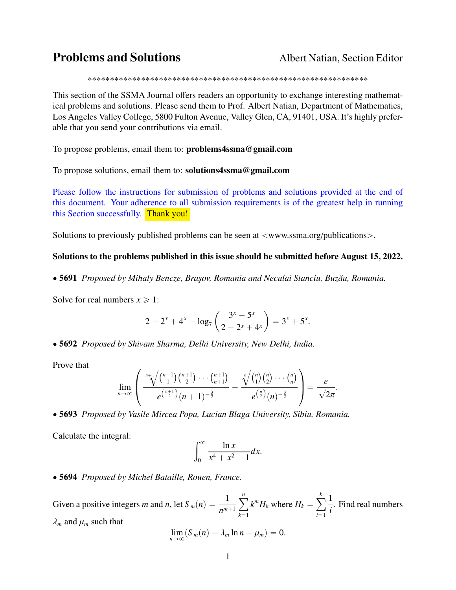## **Problems and Solutions** Albert Natian, Section Editor

\*\*\*\*\*\*\*\*\*\*\*\*\*\*\*\*\*\*\*\*\*\*\*\*\*\*\*\*\*\*\*\*\*\*\*\*\*\*\*\*\*\*\*\*\*\*\*\*\*\*\*\*\*\*\*\*\*\*\*\*\*\*\*

This section of the SSMA Journal offers readers an opportunity to exchange interesting mathematical problems and solutions. Please send them to Prof. Albert Natian, Department of Mathematics, Los Angeles Valley College, 5800 Fulton Avenue, Valley Glen, CA, 91401, USA. It's highly preferable that you send your contributions via email.

To propose problems, email them to: problems4ssma@gmail.com

To propose solutions, email them to: solutions4ssma@gmail.com

Please follow the instructions for submission of problems and solutions provided at the end of this document. Your adherence to all submission requirements is of the greatest help in running this Section successfully. Thank you!

Solutions to previously published problems can be seen at  $\langle$ www.ssma.org/publications $\rangle$ .

#### Solutions to the problems published in this issue should be submitted before August 15, 2022.

' 5691 *Proposed by Mihaly Bencze, Bra¸sov, Romania and Neculai Stanciu, Buz ˘au, Romania.*

Solve for real numbers  $x \ge 1$ :

$$
2 + 2^{x} + 4^{x} + \log_7\left(\frac{3^{x} + 5^{x}}{2 + 2^{x} + 4^{x}}\right) = 3^{x} + 5^{x}.
$$

' 5692 *Proposed by Shivam Sharma, Delhi University, New Delhi, India.*

Prove that

$$
\lim_{n\to\infty}\left(\frac{\sqrt[n+1]{\binom{n+1}{1}\binom{n+1}{2}\cdots\binom{n+1}{n+1}}}{e^{\left(\frac{n+1}{2}\right)}(n+1)^{-\frac{3}{2}}}-\frac{\sqrt[n]{\binom{n}{1}\binom{n}{2}\cdots\binom{n}{n}}}{e^{\left(\frac{n}{2}\right)}(n)^{-\frac{3}{2}}}\right)=\frac{e}{\sqrt{2\pi}}.
$$

**Second Contract Contract Contract Contract Contract Contract Contract Contract Contract Contract Contract Contract Contract Contract Contract Contract Contract Contract Contract Contract Contract Contract Contract Contrac** 

' 5693 *Proposed by Vasile Mircea Popa, Lucian Blaga University, Sibiu, Romania.*

Calculate the integral:

$$
\int_0^\infty \frac{\ln x}{x^4 + x^2 + 1} dx.
$$

' 5694 *Proposed by Michel Bataille, Rouen, France.*

¨

Given a positive integers *m* and *n*, let  $S_m(n) = \frac{1}{n^{m+1}}$ ÿ*<sup>n</sup>*  $k=1$  $k^m H_k$  where  $H_k =$ ÿ *k*  $i=1$ 1 *i* . Find real numbers  $\lambda_m$  and  $\mu_m$  such that  $\lim_{n\to\infty}$   $(S_m(n) - \lambda_m \ln n - \mu_m) = 0.$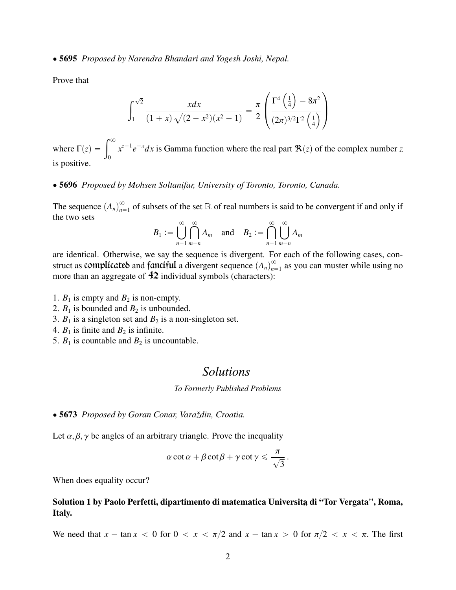' 5695 *Proposed by Narendra Bhandari and Yogesh Joshi, Nepal.*

Prove that

$$
\int_{1}^{\sqrt{2}} \frac{xdx}{(1+x)\sqrt{(2-x^2)(x^2-1)}} = \frac{\pi}{2} \left( \frac{\Gamma^4\left(\frac{1}{4}\right) - 8\pi^2}{(2\pi)^{3/2}\Gamma^2\left(\frac{1}{4}\right)} \right)
$$

¨

**Second Contract Contract Contract Contract Contract Contract Contract Contract Contract Contract Contract Contract Contract Contract Contract Contract Contract Contract Contract Contract Contract Contract Contract Contrac** 

where  $\Gamma(z) = \int_{0}^{\infty}$  $\boldsymbol{0}$  $x^{z-1}e^{-x}dx$  is Gamma function where the real part  $\Re(z)$  of the complex number *z* is positive.

#### ' 5696 *Proposed by Mohsen Soltanifar, University of Toronto, Toronto, Canada.*

The sequence  $(A_n)_{n=1}^{\infty}$  $_{n=1}^{\infty}$  of subsets of the set R of real numbers is said to be convergent if and only if the two sets

$$
B_1 := \bigcup_{n=1}^{\infty} \bigcap_{m=n}^{\infty} A_m \quad \text{and} \quad B_2 := \bigcap_{n=1}^{\infty} \bigcup_{m=n}^{\infty} A_m
$$

are identical. Otherwise, we say the sequence is divergent. For each of the following cases, construct as **complicates** and **fanciful** a divergent sequence  $(A_n)_{n=1}^{\infty}$  $\sum_{n=1}^{\infty}$  as you can muster while using no more than an aggregate of  $42$  individual symbols (characters):

- 1.  $B_1$  is empty and  $B_2$  is non-empty.
- 2.  $B_1$  is bounded and  $B_2$  is unbounded.
- 3.  $B_1$  is a singleton set and  $B_2$  is a non-singleton set.
- 4.  $B_1$  is finite and  $B_2$  is infinite.
- 5.  $B_1$  is countable and  $B_2$  is uncountable.

## *Solutions*

*To Formerly Published Problems*

' 5673 *Proposed by Goran Conar, Varaždin, Croatia.*

Let  $\alpha, \beta, \gamma$  be angles of an arbitrary triangle. Prove the inequality

$$
\alpha \cot \alpha + \beta \cot \beta + \gamma \cot \gamma \leq \frac{\pi}{\sqrt{3}}.
$$

When does equality occur?

### Solution 1 by Paolo Perfetti, dipartimento di matematica Universita di "Tor Vergata", Roma, Italy.

We need that  $x - \tan x < 0$  for  $0 < x < \pi/2$  and  $x - \tan x > 0$  for  $\pi/2 < x < \pi$ . The first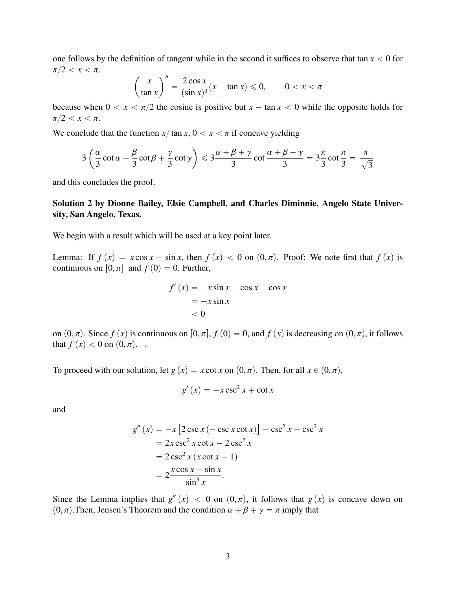one follows by the definition of tangent while in the second it suffices to observe that tan  $x < 0$  for  $\pi/2 < x < \pi$ . ˆ  $\sqrt{''}$ 

$$
\left(\frac{x}{\tan x}\right)'' = \frac{2\cos x}{(\sin x)^3}(x - \tan x) \le 0, \qquad 0 < x < \pi
$$

because when  $0 < x < \pi/2$  the cosine is positive but  $x - \tan x < 0$  while the opposite holds for  $\pi/2 < x < \pi$ .

We conclude that the function  $x/\tan x$ ,  $0 < x < \pi$  if concave yielding

˙

$$
3\left(\frac{\alpha}{3}\cot\alpha + \frac{\beta}{3}\cot\beta + \frac{\gamma}{3}\cot\gamma\right) \leqslant 3\frac{\alpha + \beta + \gamma}{3}\cot\frac{\alpha + \beta + \gamma}{3} = 3\frac{\pi}{3}\cot\frac{\pi}{3} = \frac{\pi}{\sqrt{3}}
$$

and this concludes the proof.

ˆ

## Solution 2 by Dionne Bailey, Elsie Campbell, and Charles Diminnie, Angelo State University, San Angelo, Texas.

We begin with a result which will be used at a key point later.

Lemma: If  $f(x) = x \cos x - \sin x$ , then  $f(x) < 0$  on  $(0, \pi)$ . Proof: We note first that  $f(x)$  is continuous on  $[0, \pi]$  and  $f(0) = 0$ . Further,

$$
f'(x) = -x \sin x + \cos x - \cos x
$$
  
= -x \sin x  
< 0

on  $(0, \pi)$ . Since  $f(x)$  is continuous on  $[0, \pi]$ ,  $f(0) = 0$ , and  $f(x)$  is decreasing on  $(0, \pi)$ , it follows that  $f(x) < 0$  on  $(0, \pi)$ .

To proceed with our solution, let  $g(x) = x \cot x$  on  $(0, \pi)$ . Then, for all  $x \in (0, \pi)$ ,

$$
g'(x) = -x \csc^2 x + \cot x
$$

and

$$
g''(x) = -x [2 \csc x (-\csc x \cot x)] - \csc^2 x - \csc^2 x
$$
  
= 2x \csc^2 x \cot x - 2 \csc^2 x  
= 2 \csc^2 x (x \cot x - 1)  
= 2 \frac{x \cos x - \sin x}{\sin^3 x}.

Since the Lemma implies that  $g''(x) < 0$  on  $(0, \pi)$ , it follows that  $g(x)$  is concave down on  $(0, \pi)$ . Then, Jensen's Theorem and the condition  $\alpha + \beta + \alpha = \pi$  imply that  $(0, \pi)$ . Then, Jensen's Theorem and the condition  $\alpha + \beta + \gamma = \pi$  imply that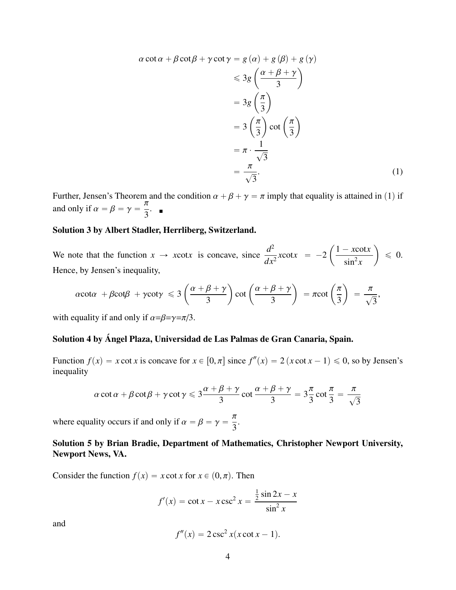$$
\alpha \cot \alpha + \beta \cot \beta + \gamma \cot \gamma = g(\alpha) + g(\beta) + g(\gamma)
$$
  
\n
$$
\leq 3g\left(\frac{\alpha + \beta + \gamma}{3}\right)
$$
  
\n
$$
= 3g\left(\frac{\pi}{3}\right)
$$
  
\n
$$
= 3\left(\frac{\pi}{3}\right) \cot \left(\frac{\pi}{3}\right)
$$
  
\n
$$
= \pi \cdot \frac{1}{\sqrt{3}}
$$
  
\n
$$
= \frac{\pi}{\sqrt{3}}.
$$
 (1)

Further, Jensen's Theorem and the condition  $\alpha + \beta + \gamma = \pi$  imply that equality is attained in (1) if and only if  $\alpha = \beta = \gamma = \frac{\pi}{3}$ .<br>. ∎

#### Solution 3 by Albert Stadler, Herrliberg, Switzerland.

We note that the function  $x \to x \cot x$  is concave, since  $\frac{d^2}{dx^2}$  $\frac{d}{dx^2}$  *x*cot*x* = -2 ˆ  $1 - x \cot x$  $\sin^2 x$ ˙  $\leqslant$  0. Hence, by Jensen's inequality,

$$
\alpha \cot \alpha + \beta \cot \beta + \gamma \cot \gamma \leqslant 3 \left( \frac{\alpha + \beta + \gamma}{3} \right) \cot \left( \frac{\alpha + \beta + \gamma}{3} \right) = \pi \cot \left( \frac{\pi}{3} \right) = \frac{\pi}{\sqrt{3}},
$$

with equality if and only if  $\alpha = \beta = \gamma = \pi/3$ .

## Solution 4 by Ángel Plaza, Universidad de Las Palmas de Gran Canaria, Spain.

Function  $f(x) = x \cot x$  is concave for  $x \in [0, \pi]$  since  $f''(x) = 2(x \cot x - 1) \le 0$ , so by Jensen's inequality

$$
\alpha \cot \alpha + \beta \cot \beta + \gamma \cot \gamma \leqslant 3 \frac{\alpha + \beta + \gamma}{3} \cot \frac{\alpha + \beta + \gamma}{3} = 3 \frac{\pi}{3} \cot \frac{\pi}{3} = \frac{\pi}{\sqrt{3}}
$$

where equality occurs if and only if  $\alpha = \beta = \gamma = \frac{\pi}{3}$ .

## Solution 5 by Brian Bradie, Department of Mathematics, Christopher Newport University, Newport News, VA.

Consider the function  $f(x) = x \cot x$  for  $x \in (0, \pi)$ . Then

$$
f'(x) = \cot x - x \csc^2 x = \frac{\frac{1}{2} \sin 2x - x}{\sin^2 x}
$$

and

$$
f''(x) = 2\csc^2 x(x\cot x - 1).
$$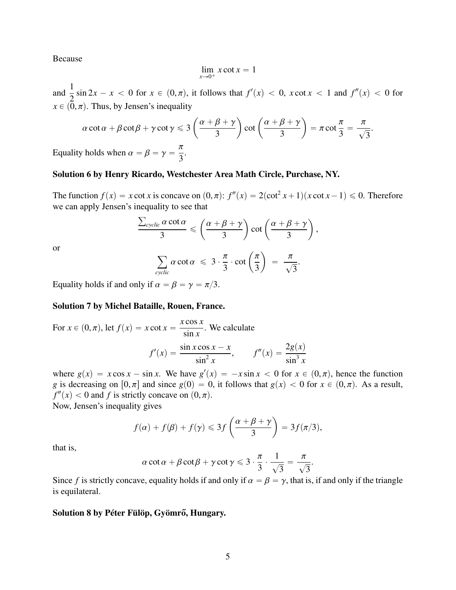Because

$$
\lim_{x \to 0^+} x \cot x = 1
$$

and  $\frac{1}{2}$  $\frac{1}{2}$  sin 2*x* - *x* < 0 for *x*  $\in (0, \pi)$ , it follows that  $f'(x) < 0$ , *x* cot *x* < 1 and  $f''(x) < 0$  for  $x \in (0, \pi)$ . Thus, by Jensen's inequality

$$
\alpha \cot \alpha + \beta \cot \beta + \gamma \cot \gamma \leqslant 3 \left( \frac{\alpha + \beta + \gamma}{3} \right) \cot \left( \frac{\alpha + \beta + \gamma}{3} \right) = \pi \cot \frac{\pi}{3} = \frac{\pi}{\sqrt{3}}.
$$
\nby holds when  $\alpha = \beta = \gamma = \frac{\pi}{2}$ .

Equality holds when  $\alpha = \beta = \gamma$  $\frac{1}{3}$ .

### Solution 6 by Henry Ricardo, Westchester Area Math Circle, Purchase, NY.

The function  $f(x) = x \cot x$  is concave on  $(0, \pi)$ :  $f''(x) = 2(\cot^2 x + 1)(x \cot x - 1) \le 0$ . Therefore we can apply Jensen's inequality to see that ř

$$
\frac{\sum_{cyclic} \alpha \cot \alpha}{3} \leqslant \left(\frac{\alpha+\beta+\gamma}{3}\right) \cot \left(\frac{\alpha+\beta+\gamma}{3}\right),
$$
  

$$
\sum_{cyclic} \alpha \cot \alpha \leqslant 3 \cdot \frac{\pi}{3} \cdot \cot \left(\frac{\pi}{3}\right) = \frac{\pi}{\sqrt{3}}.
$$

or

Equality holds if and only if 
$$
\alpha = \beta = \gamma = \pi/3
$$
.

#### Solution 7 by Michel Bataille, Rouen, France.

For 
$$
x \in (0, \pi)
$$
, let  $f(x) = x \cot x = \frac{x \cos x}{\sin x}$ . We calculate  

$$
f'(x) = \frac{\sin x \cos x - x}{\sin^2 x}, \qquad f''(x) = \frac{2g(x)}{\sin^3 x}
$$

where  $g(x) = x \cos x - \sin x$ . We have  $g'(x) = -x \sin x < 0$  for  $x \in (0, \pi)$ , hence the function *g* is decreasing on [0,  $\pi$ ] and since  $g(0) = 0$  it follows that  $g(x) < 0$  for  $x \in (0, \pi)$ . As a result *g* is decreasing on  $[0, \pi]$  and since  $g(0) = 0$ , it follows that  $g(x) < 0$  for  $x \in (0, \pi)$ . As a result,  $f''(x) < 0$  and *f* is strictly concave on  $(0, \pi)$ .<br>Now, Jensen's inequality gives

Now, Jensen's inequality gives

$$
f(\alpha) + f(\beta) + f(\gamma) \leq 3f\left(\frac{\alpha + \beta + \gamma}{3}\right) = 3f(\pi/3),
$$

that is,

$$
\alpha \cot \alpha + \beta \cot \beta + \gamma \cot \gamma \leqslant 3 \cdot \frac{\pi}{3} \cdot \frac{1}{\sqrt{3}} = \frac{\pi}{\sqrt{3}}
$$

Since *f* is strictly concave, equality holds if and only if  $\alpha = \beta = \gamma$ , that is, if and only if the triangle is equilateral.

### Solution 8 by Péter Fülöp, Gyömrő, Hungary.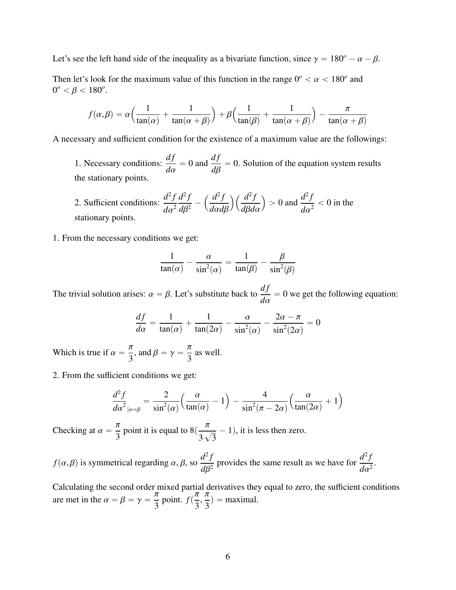Let's see the left hand side of the inequality as a bivariate function, since  $\gamma = 180^\circ - \alpha - \beta$ .

Then let's look for the maximum value of this function in the range  $0^{\circ} < \alpha < 180^{\circ}$  and  $0^{\circ} < \beta < 180^{\circ}$  $0^{\circ} < \beta < 180^{\circ}.$ 

$$
f(\alpha, \beta) = \alpha \Big( \frac{1}{\tan(\alpha)} + \frac{1}{\tan(\alpha + \beta)} \Big) + \beta \Big( \frac{1}{\tan(\beta)} + \frac{1}{\tan(\alpha + \beta)} \Big) - \frac{\pi}{\tan(\alpha + \beta)}
$$

A necessary and sufficient condition for the existence of a maximum value are the followings:

1. Necessary conditions:  $\frac{df}{dt}$ *d*α  $= 0$  and  $\frac{df}{dt}$ *d*β  $= 0$ . Solution of the equation system results the stationary points.

2. Sufficient conditions:  $\frac{d^2f}{dx^2}$  $d\alpha^2$  $d^2f$  $\frac{d^{2}y}{d\beta^{2}}$  $d^2f$ *<sup>d</sup>*α*d*β  $\sqrt{d^2f}$ *<sup>d</sup>*β*d*α ji<br>Li  $> 0$  and  $\frac{d^2f}{dx^2}$  $rac{a}{d\alpha^2}$  < 0 in the stationary points.

1. From the necessary conditions we get:

$$
\frac{1}{\tan(\alpha)} - \frac{\alpha}{\sin^2(\alpha)} = \frac{1}{\tan(\beta)} - \frac{\beta}{\sin^2(\beta)}
$$

The trivial solution arises:  $\alpha = \beta$ . Let's substitute back to  $\frac{df}{da}$ *d*α  $= 0$  we get the following equation:

$$
\frac{df}{d\alpha} = \frac{1}{\tan(\alpha)} + \frac{1}{\tan(2\alpha)} - \frac{\alpha}{\sin^2(\alpha)} - \frac{2\alpha - \pi}{\sin^2(2\alpha)} = 0
$$

Which is true if  $\alpha = \frac{\pi}{3}$ , and  $\beta = \gamma = \frac{\pi}{3}$ as well.

2. From the sufficient conditions we get:

$$
\frac{d^2f}{d\alpha^2}_{|\alpha=\beta} = \frac{2}{\sin^2(\alpha)} \Big( \frac{\alpha}{\tan(\alpha)} - 1 \Big) - \frac{4}{\sin^2(\pi - 2\alpha)} \Big( \frac{\alpha}{\tan(2\alpha)} + 1 \Big)
$$

Checking at  $\alpha = \frac{\pi}{3}$  point it is equal to  $8(\frac{\pi}{3})$ 3  $\frac{1}{\sqrt{2}}$ 3  $- 1$ , it is less then zero.

$$
f(\alpha, \beta)
$$
 is symmetrical regarding  $\alpha, \beta$ , so  $\frac{d^2 f}{d\beta^2}$  provides the same result as we have for  $\frac{d^2 f}{d\alpha^2}$ .

Calculating the second order mixed partial derivatives they equal to zero, the sufficient conditions are met in the  $\alpha = \beta = \gamma = \frac{\pi}{3}$  point.  $f(\frac{\pi}{3}, \frac{\pi}{3})$  $\frac{\pi}{3}$  = maximal.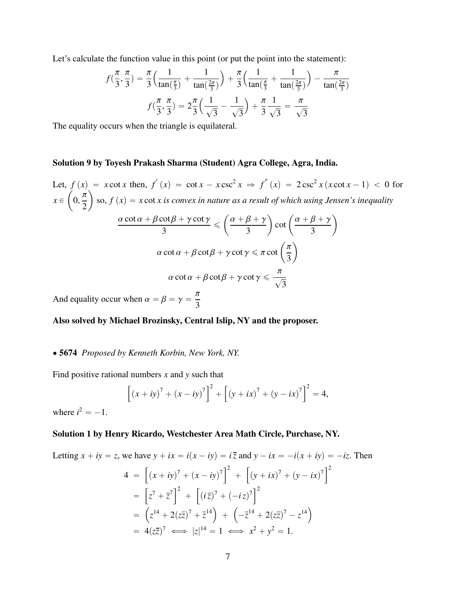Let's calculate the function value in this point (or put the point into the statement):

$$
f(\frac{\pi}{3}, \frac{\pi}{3}) = \frac{\pi}{3} \left( \frac{1}{\tan(\frac{\pi}{3})} + \frac{1}{\tan(\frac{2\pi}{3})} \right) + \frac{\pi}{3} \left( \frac{1}{\tan(\frac{\pi}{3})} + \frac{1}{\tan(\frac{2\pi}{3})} \right) - \frac{\pi}{\tan(\frac{2\pi}{3})}
$$

$$
f(\frac{\pi}{3}, \frac{\pi}{3}) = 2\frac{\pi}{3} \left( \frac{1}{\sqrt{3}} - \frac{1}{\sqrt{3}} \right) + \frac{\pi}{3} \frac{1}{\sqrt{3}} = \frac{\pi}{\sqrt{3}}
$$

The equality occurs when the triangle is equilateral.

#### Solution 9 by Toyesh Prakash Sharma (Student) Agra College, Agra, India.

Let,  $f(x) = x \cot x$  then,  $f'(x) = \cot x - x \csc^2 x \implies f''(x) = 2 \csc^2 x (x \cot x - 1) < 0$  for  $x \in$  $\overline{J}$  $\frac{1}{2}$ ˙ so,  $f\left(x\right) = x\cot x$  is convex in nature as a result of which using Jensen's inequality  $\frac{\alpha \cot \alpha + \beta \cot \beta + \gamma \cot \gamma}{3} \leqslant \Biggl( \frac{\alpha + \beta + \gamma}{3}$ ˆ ˙ ˙  $\cot\left(\frac{\alpha+\beta+\gamma}{3}\right)$  $\alpha \cot \alpha + \beta \cot \beta + \gamma \cot \gamma \leq \pi \cot \left($  $\frac{1}{3}$ ˙  $\alpha \cot \alpha + \beta \cot \beta + \gamma \cot \gamma \leqslant \frac{\pi}{\sqrt{2}}$ 3

And equality occur when  $\alpha = \beta = \gamma = \frac{\pi}{3}$ 

#### Also solved by Michael Brozinsky, Central Islip, NY and the proposer.

### ' 5674 *Proposed by Kenneth Korbin, New York, NY.*

Find positive rational numbers *x* and *y* such that

$$
\[ (x + iy)^7 + (x - iy)^7 \]^{2} + \[ (y + ix)^7 + (y - ix)^7 \]^{2} = 4,
$$

where  $i^2 = -1$ .

#### Solution 1 by Henry Ricardo, Westchester Area Math Circle, Purchase, NY.

Letting 
$$
x + iy = z
$$
, we have  $y + ix = i(x - iy) = i\overline{z}$  and  $y - ix = -i(x + iy) = -iz$ . Then  
\n
$$
4 = \left[ (x + iy)^7 + (x - iy)^7 \right]^2 + \left[ (y + ix)^7 + (y - ix)^7 \right]^2
$$
\n
$$
= \left[ z^7 + \overline{z}^7 \right]^2 + \left[ (i\overline{z})^7 + (-iz)^7 \right]^2
$$
\n
$$
= \left( z^{14} + 2(z\overline{z})^7 + \overline{z}^{14} \right) + \left( -\overline{z}^{14} + 2(z\overline{z})^7 - z^{14} \right)
$$
\n
$$
= 4(z\overline{z})^7 \iff |z|^{14} = 1 \iff x^2 + y^2 = 1.
$$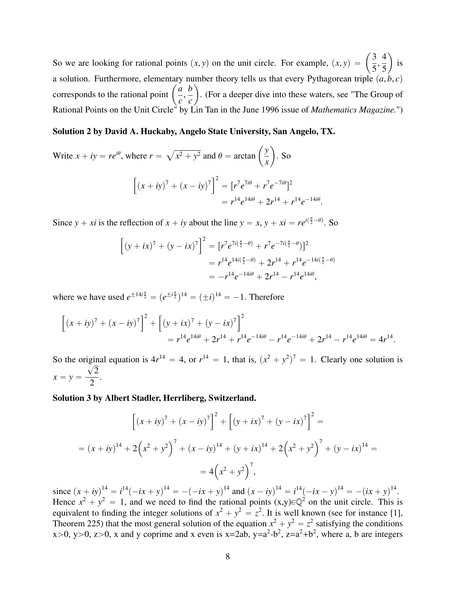So we are looking for rational points  $(x, y)$  on the unit circle. For example,  $(x, y) = \left(\frac{3}{5}\right)$  $5<sup>7</sup>$ 4 5 is a solution. Furthermore, elementary number theory tells us that every Pythagorean triple  $(a, b, c)$ a solution. Furthermore, elementar<br>corresponds to the rational point  $\left($ *a c* , *b c* . (For a deeper dive into these waters, see "The Group of Rational Points on the Unit Circle" by Lin Tan in the June 1996 issue of *Mathematics Magazine.*")

ˆ

˙

#### Solution 2 by David A. Huckaby, Angelo State University, San Angelo, TX.

Write 
$$
x + iy = re^{i\theta}
$$
, where  $r = \sqrt{x^2 + y^2}$  and  $\theta = \arctan\left(\frac{y}{x}\right)$ . So  
\n
$$
\left[ (x + iy)^7 + (x - iy)^7 \right]^2 = [r^7 e^{7i\theta} + r^7 e^{-7i\theta}]^2
$$
\n
$$
= r^{14} e^{14i\theta} + 2r^{14} + r^{14} e^{-14i\theta}.
$$

Since  $y + xi$  is the reflection of  $x + iy$  about the line  $y = x$ ,  $y + xi = re^{i(\frac{\pi}{2} - \theta)}$ . So

$$
\[ (y + ix)^7 + (y - ix)^7 \]^{2} = [r^7 e^{7i(\frac{\pi}{2} - \theta)} + r^7 e^{-7i(\frac{\pi}{2} - \theta)} \]^{2}
$$
  
=  $r^{14} e^{14i(\frac{\pi}{2} - \theta)} + 2r^{14} + r^{14} e^{-14i(\frac{\pi}{2} - \theta)}$   
=  $-r^{14} e^{-14i\theta} + 2r^{14} - r^{14} e^{14i\theta},$ 

where we have used  $e^{\pm 14i\frac{\pi}{2}} = (e^{\pm i\frac{\pi}{2}})^{14} = (\pm i)^{14} = -1$ . Therefore

$$
\[ (x+iy)^7 + (x-iy)^7 \] ^2 + \left[ (y+ix)^7 + (y-ix)^7 \right]^2
$$
  
=  $r^{14}e^{14i\theta} + 2r^{14} + r^{14}e^{-14i\theta} - r^{14}e^{-14i\theta} + 2r^{14} - r^{14}e^{14i\theta} = 4r^{14}.$ 

So the original equation is  $4r^{14} = 4$ , or  $r^{14} = 1$ , that is,  $(x^2 + y^2)^7 = 1$ . Clearly one solution is  $x = y = \frac{\sqrt{2}}{2}$ 2 .

#### Solution 3 by Albert Stadler, Herrliberg, Switzerland.

$$
\[ (x+iy)^7 + (x-iy)^7 \]^2 + \[ (y+ix)^7 + (y-ix)^7 \]^2 =
$$
  
=  $(x+iy)^{14} + 2(x^2+y^2)^7 + (x-iy)^{14} + (y+ix)^{14} + 2(x^2+y^2)^7 + (y-ix)^{14} =$   
=  $4(x^2+y^2)^7$ ,

since  $(x + iy)^{14} = i^{14}(-ix + y)^{14} = -(-ix + y)^{14}$  and  $(x - iy)^{14} = i^{14}(-ix - y)^{14} = -(ix + y)^{14}$ . Hence  $x^2 + y^2 = 1$ , and we need to find the rational points  $(x,y) \in \mathbb{Q}^2$  on the unit circle. This is equivalent to finding the integer solutions of  $x^2 + y^2 = z^2$ . It is well known (see for instance [1],<br>Theorem 225) that the most general solution of the equation  $x^2 + y^2 = z^2$  satisfying the conditions Theorem 225) that the most general solution of the equation  $x^2 + y^2 = z^2$  satisfying the conditions  $x>0$ ,  $y>0$ ,  $z>0$ , x and y coprime and x even is  $x=2ab$ ,  $y=a^2-b^2$ ,  $z=a^2+b^2$ , where a, b are integers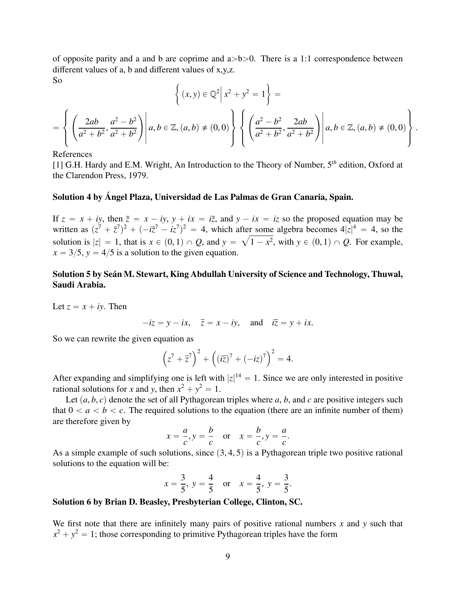of opposite parity and a and b are coprime and  $a > b > 0$ . There is a 1:1 correspondence between different values of a, b and different values of x,y,z. So " \*

$$
\left\{ (x, y) \in \mathbb{Q}^2 \middle| x^2 + y^2 = 1 \right\} =
$$
\n
$$
= \left\{ \left( \frac{2ab}{a^2 + b^2}, \frac{a^2 - b^2}{a^2 + b^2} \right) \middle| a, b \in \mathbb{Z}, (a, b) \neq (0, 0) \right\} \left\{ \left( \frac{a^2 - b^2}{a^2 + b^2}, \frac{2ab}{a^2 + b^2} \right) \middle| a, b \in \mathbb{Z}, (a, b) \neq (0, 0) \right\}
$$

References

[1] G.H. Hardy and E.M. Wright, An Introduction to the Theory of Number, 5*th* edition, Oxford at the Clarendon Press, 1979.

### Solution 4 by Ángel Plaza, Universidad de Las Palmas de Gran Canaria, Spain.

If  $z = x + iy$ , then  $\overline{z} = x - iy$ ,  $y + ix = i\overline{z}$ , and  $y - ix = iz$  so the proposed equation may be written as  $(z^7 + \bar{z}^7)^2 + (-i\bar{z}^7 - i\bar{z}^7)^2 = 4$ , which after some algebra becomes  $4|z|^4 = 4$ , so the solution is  $|z| = 1$ , that is  $x \in (0, 1) \cap Q$ , and  $y = \sqrt{1 - x^2}$ , with  $y \in (0, 1) \cap Q$ . For example,  $x = 3/5$ ,  $y = 4/5$  is a solution to the given equation  $x = 3/5$ ,  $y = 4/5$  is a solution to the given equation.

### Solution 5 by Seán M. Stewart, King Abdullah University of Science and Technology, Thuwal, Saudi Arabia.

Let  $z = x + iy$ . Then

$$
-iz = y - ix, \quad \overline{z} = x - iy, \quad \text{and} \quad i\overline{z} = y + ix.
$$

So we can rewrite the given equation as

$$
\left(z^7 + \overline{z}^7\right)^2 + \left((i\overline{z})^7 + (-iz)^7\right)^2 = 4.
$$

After expanding and simplifying one is left with  $|z|^{14} = 1$ . Since we are only interested in positive rational solutions for *x* and *y*, then  $x^2 + y^2 = 1$ .

Let  $(a, b, c)$  denote the set of all Pythagorean triples where  $a, b$ , and  $c$  are positive integers such that  $0 < a < b < c$ . The required solutions to the equation (there are an infinite number of them) are therefore given by

$$
x = \frac{a}{c}, y = \frac{b}{c} \quad \text{or} \quad x = \frac{b}{c}, y = \frac{a}{c}.
$$

As a simple example of such solutions, since  $(3, 4, 5)$  is a Pythagorean triple two positive rational solutions to the equation will be:

$$
x = \frac{3}{5}
$$
,  $y = \frac{4}{5}$  or  $x = \frac{4}{5}$ ,  $y = \frac{3}{5}$ .

#### Solution 6 by Brian D. Beasley, Presbyterian College, Clinton, SC.

We first note that there are infinitely many pairs of positive rational numbers *x* and *y* such that  $x^2 + y^2 = 1$ ; those corresponding to primitive Pythagorean triples have the form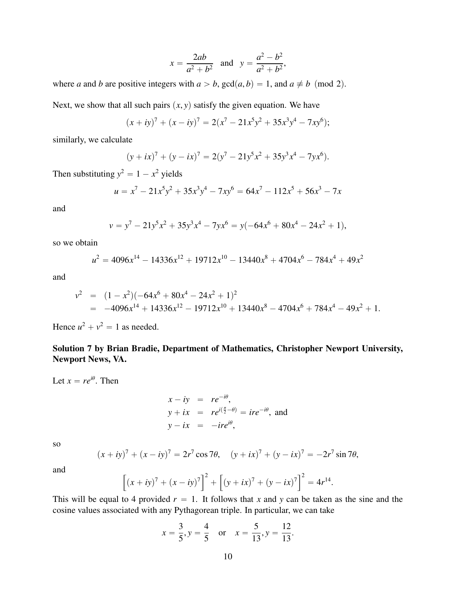$$
x = \frac{2ab}{a^2 + b^2}
$$
 and  $y = \frac{a^2 - b^2}{a^2 + b^2}$ ,

where *a* and *b* are positive integers with  $a > b$ ,  $gcd(a, b) = 1$ , and  $a \neq b \pmod{2}$ . Next, we show that all such pairs  $(x, y)$  satisfy the given equation. We have

$$
(x+iy)7 + (x-iy)7 = 2(x7 - 21x5y2 + 35x3y4 - 7xy6);
$$

similarly, we calculate

$$
(y + ix)7 + (y - ix)7 = 2(y7 - 21y5x2 + 35y3x4 - 7yx6).
$$

Then substituting  $y^2 = 1 - x^2$  yields

$$
u = x7 - 21x5y2 + 35x3y4 - 7xy6 = 64x7 - 112x5 + 56x3 - 7x
$$

and

$$
v = y^7 - 21y^5x^2 + 35y^3x^4 - 7yx^6 = y(-64x^6 + 80x^4 - 24x^2 + 1),
$$

so we obtain

$$
u^2 = 4096x^{14} - 14336x^{12} + 19712x^{10} - 13440x^8 + 4704x^6 - 784x^4 + 49x^2
$$

and

$$
v^2 = (1 - x^2)(-64x^6 + 80x^4 - 24x^2 + 1)^2
$$
  
= -4096x<sup>14</sup> + 14336x<sup>12</sup> - 19712x<sup>10</sup> + 13440x<sup>8</sup> - 4704x<sup>6</sup> + 784x<sup>4</sup> - 49x<sup>2</sup> + 1.

Hence  $u^2 + v^2 = 1$  as needed.

## Solution 7 by Brian Bradie, Department of Mathematics, Christopher Newport University, Newport News, VA.

Let  $x = re^{i\theta}$ . Then

$$
x - iy = re^{-i\theta},
$$
  
\n
$$
y + ix = re^{i(\frac{\pi}{2} - \theta)} = ire^{-i\theta},
$$
 and  
\n
$$
y - ix = -ire^{i\theta},
$$

so

$$
(x + iy)7 + (x - iy)7 = 2r7 cos 7\theta, \quad (y + ix)7 + (y - ix)7 = -2r7 sin 7\theta,
$$

and

$$
\[ (x + iy)^7 + (x - iy)^7 \]^{2} + \[ (y + ix)^7 + (y - ix)^7 \]^{2} = 4r^{14}
$$

This will be equal to 4 provided  $r = 1$ . It follows that *x* and *y* can be taken as the sine and the cosine values associated with any Pythagorean triple. In particular, we can take

$$
x = \frac{3}{5}, y = \frac{4}{5}
$$
 or  $x = \frac{5}{13}, y = \frac{12}{13}$ .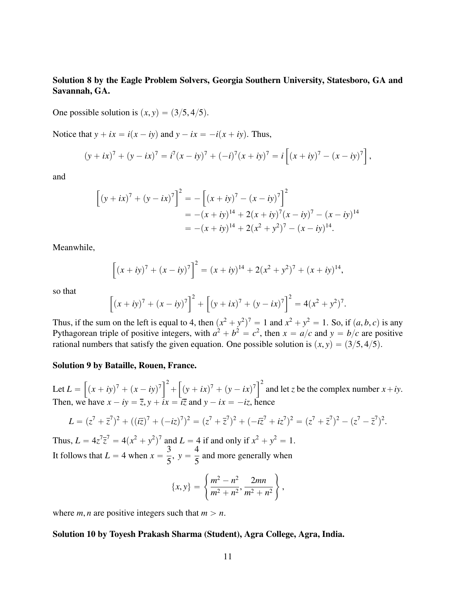### Solution 8 by the Eagle Problem Solvers, Georgia Southern University, Statesboro, GA and Savannah, GA.

One possible solution is  $(x, y) = (3/5, 4/5)$ .

Notice that  $y + ix = i(x - iy)$  and  $y - ix = -i(x + iy)$ . Thus,

$$
(y + ix)7 + (y - ix)7 = i7(x - iy)7 + (-i)7(x + iy)7 = i[(x + iy)7 - (x - iy)7],
$$

and

$$
\[ (y + ix)^7 + (y - ix)^7 \]^{2} = -\left[ (x + iy)^7 - (x - iy)^7 \right]^{2}
$$
  
= -(x + iy)^{14} + 2(x + iy)^7(x - iy)^7 - (x - iy)^{14}  
= -(x + iy)^{14} + 2(x^2 + y^2)^7 - (x - iy)^{14}.

Meanwhile,

$$
\[ (x+iy)^7 + (x-iy)^7 \]^{2} = (x+iy)^{14} + 2(x^2+y^2)^7 + (x+iy)^{14},
$$

so that

$$
\[ (x + iy)^7 + (x - iy)^7 \]_+^2 + \[ (y + ix)^7 + (y - ix)^7 \]_+^2 = 4(x^2 + y^2)^7.
$$

Thus, if the sum on the left is equal to 4, then  $(x^2 + y^2)^7 = 1$  and  $x^2 + y^2 = 1$ . So, if  $(a, b, c)$  is any<br>Puthagorean triple of positive integers, with  $a^2 + b^2 = c^2$ , then  $x = a/c$  and  $y = b/c$  are positive Pythagorean triple of positive integers, with  $a^2 + b^2 = c^2$ , then  $x = a/c$  and  $y = b/c$  are positive rational numbers that satisfy the given equation. One possible solution is  $(x, y) = (3/5, 4/5)$ .

#### Solution 9 by Bataille, Rouen, France.

Let  $L =$ .<br>..  $(x + iy)^7 + (x - iy)^7$ <sup>2</sup>  $^{+}$ .<br>...  $(y + ix)^7 + (y - ix)^7$ <sup>2</sup> and let *z* be the complex number  $x + iy$ . Then, we have  $x - iy = \overline{z}$ ,  $y + i\overline{ix} = i\overline{z}$  and  $y - ix = -iz$ , hence

$$
L = (z^7 + \overline{z}^7)^2 + ((i\overline{z})^7 + (-i\overline{z})^7)^2 = (z^7 + \overline{z}^7)^2 + (-i\overline{z}^7 + i\overline{z}^7)^2 = (z^7 + \overline{z}^7)^2 - (z^7 - \overline{z}^7)^2
$$

Thus,  $L = 4z^7 \overline{z}^7 = 4(x^2 + y^2)^7$  and  $L = 4$  if and only if  $x^2 + y^2 = 1$ . It follows that  $L = 4$  when  $x = \frac{3}{5}$  $\frac{3}{5}$ ,  $y = \frac{4}{5}$ 5 and more generally when +

$$
\{x,y\} = \left\{\frac{m^2 - n^2}{m^2 + n^2}, \frac{2mn}{m^2 + n^2}\right\},\,
$$

where *m*, *n* are positive integers such that  $m > n$ .

#### Solution 10 by Toyesh Prakash Sharma (Student), Agra College, Agra, India.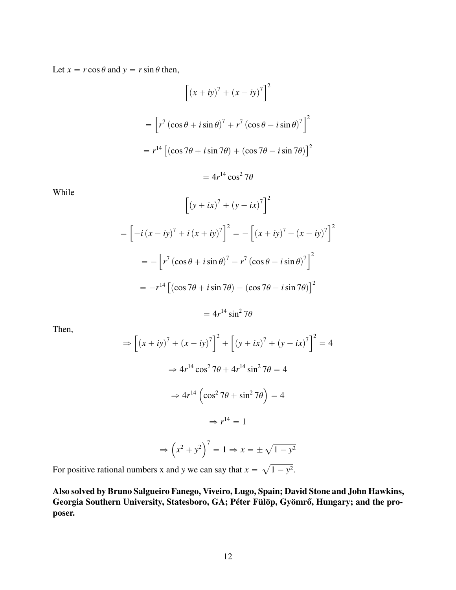Let  $x = r \cos \theta$  and  $y = r \sin \theta$  then,

$$
\left[ (x + iy)^7 + (x - iy)^7 \right]^2
$$
  
=  $\left[ r^7 (\cos \theta + i \sin \theta)^7 + r^7 (\cos \theta - i \sin \theta)^7 \right]^2$   
=  $r^{14} \left[ (\cos 7\theta + i \sin 7\theta) + (\cos 7\theta - i \sin 7\theta) \right]^2$   
=  $4r^{14} \cos^2 7\theta$ 

While

$$
\left[ (y + ix)^7 + (y - ix)^7 \right]^2
$$
  
=  $\left[ -i (x - iy)^7 + i (x + iy)^7 \right]^2 = -\left[ (x + iy)^7 - (x - iy)^7 \right]^2$   
=  $-\left[ r^7 (\cos \theta + i \sin \theta)^7 - r^7 (\cos \theta - i \sin \theta)^7 \right]^2$   
=  $-r^{14} \left[ (\cos 7\theta + i \sin 7\theta) - (\cos 7\theta - i \sin 7\theta) \right]^2$   
=  $4r^{14} \sin^2 7\theta$ 

Then,

$$
\Rightarrow \left[ (x + iy)^7 + (x - iy)^7 \right]^2 + \left[ (y + ix)^7 + (y - ix)^7 \right]^2 = 4
$$

$$
\Rightarrow 4r^{14} \cos^2 7\theta + 4r^{14} \sin^2 7\theta = 4
$$

$$
\Rightarrow 4r^{14} \left( \cos^2 7\theta + \sin^2 7\theta \right) = 4
$$

$$
\Rightarrow r^{14} = 1
$$

$$
\Rightarrow \left( x^2 + y^2 \right)^7 = 1 \Rightarrow x = \pm \sqrt{1 - y^2}
$$

For positive rational numbers x and y we can say that 
$$
x = \sqrt{1 - y^2}
$$
.

Also solved by Bruno Salgueiro Fanego, Viveiro, Lugo, Spain; David Stone and John Hawkins, Georgia Southern University, Statesboro, GA; Péter Fülöp, Gyömrő, Hungary; and the proposer.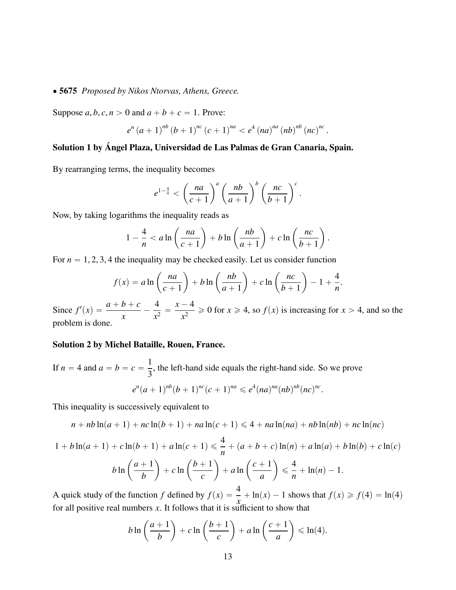#### ' 5675 *Proposed by Nikos Ntorvas, Athens, Greece.*

Suppose  $a, b, c, n > 0$  and  $a + b + c = 1$ . Prove:

$$
e^{n}(a+1)^{nb}(b+1)^{nc}(c+1)^{na} < e^{4}(na)^{na}(nb)^{nb}(nc)^{nc}
$$
.

## Solution 1 by Ángel Plaza, Universidad de Las Palmas de Gran Canaria, Spain.

By rearranging terms, the inequality becomes

$$
e^{1-\frac{4}{n}} < \left(\frac{na}{c+1}\right)^a \left(\frac{nb}{a+1}\right)^b \left(\frac{nc}{b+1}\right)^c.
$$

Now, by taking logarithms the inequality reads as

$$
1-\frac{4}{n} < a\ln\left(\frac{na}{c+1}\right) + b\ln\left(\frac{nb}{a+1}\right) + c\ln\left(\frac{nc}{b+1}\right).
$$

For  $n = 1, 2, 3, 4$  the inequality may be checked easily. Let us consider function ˙ ˙

$$
f(x) = a \ln \left(\frac{na}{c+1}\right) + b \ln \left(\frac{nb}{a+1}\right) + c \ln \left(\frac{nc}{b+1}\right) - 1 + \frac{4}{n}.
$$

Since  $f'(x) = \frac{a+b+c}{x}$ 4  $\frac{1}{x^2}$  =  $x - 4$  $\frac{x^2}{x^2} \ge 0$  for  $x \ge 4$ , so  $f(x)$  is increasing for  $x > 4$ , and so the problem is done.

#### Solution 2 by Michel Bataille, Rouen, France.

If 
$$
n = 4
$$
 and  $a = b = c = \frac{1}{3}$ , the left-hand side equals the right-hand side. So we prove  
\n
$$
e^{n}(a+1)^{nb}(b+1)^{nc}(c+1)^{na} \leq e^{4}(na)^{na}(nb)^{nb}(nc)^{nc}.
$$

This inequality is successively equivalent to

$$
n + nb \ln(a + 1) + nc \ln(b + 1) + na \ln(c + 1) \le 4 + na \ln(na) + nb \ln(nb) + nc \ln(nc)
$$

$$
1 + b\ln(a+1) + c\ln(b+1) + a\ln(c+1) \le \frac{4}{n} + (a+b+c)\ln(n) + a\ln(a) + b\ln(b) + c\ln(c)
$$
  

$$
b\ln\left(\frac{a+1}{b}\right) + c\ln\left(\frac{b+1}{c}\right) + a\ln\left(\frac{c+1}{a}\right) \le \frac{4}{n} + \ln(n) - 1.
$$

A quick study of the function *f* defined by  $f(x) = \frac{4}{x} + \ln(x) - 1$  shows that  $f(x) \ge f(4) = \ln(4)$ for all positive real numbers *x*. It follows that it is sufficient to show that

$$
b\ln\left(\frac{a+1}{b}\right)+c\ln\left(\frac{b+1}{c}\right)+a\ln\left(\frac{c+1}{a}\right)\leqslant\ln(4).
$$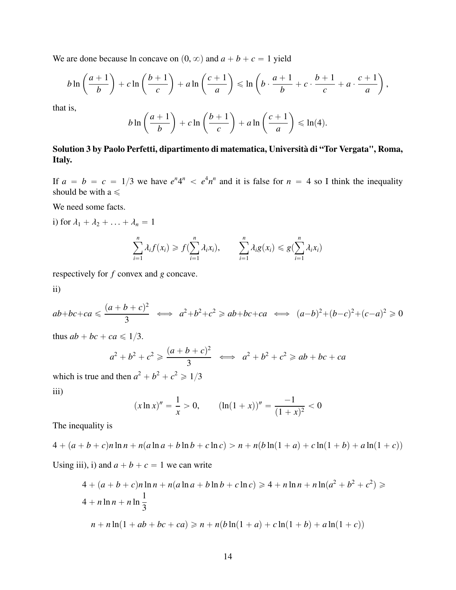We are done because ln concave on  $(0, \infty)$  and  $a + b + c = 1$  yield

$$
b\ln\left(\frac{a+1}{b}\right)+c\ln\left(\frac{b+1}{c}\right)+a\ln\left(\frac{c+1}{a}\right)\leqslant\ln\left(b\cdot\frac{a+1}{b}+c\cdot\frac{b+1}{c}+a\cdot\frac{c+1}{a}\right),
$$

that is,

$$
b\ln\left(\frac{a+1}{b}\right)+c\ln\left(\frac{b+1}{c}\right)+a\ln\left(\frac{c+1}{a}\right)\leqslant\ln(4).
$$

## Solution 3 by Paolo Perfetti, dipartimento di matematica, Università di "Tor Vergata", Roma, Italy.

If  $a = b = c = 1/3$  we have  $e^n 4^n < e^4 n^n$  and it is false for  $n = 4$  so I think the inequality should be with a  $\leq$ 

We need some facts.

i) for  $\lambda_1 + \lambda_2 + \ldots + \lambda_n = 1$ 

$$
\sum_{i=1}^n \lambda_i f(x_i) \geqslant f(\sum_{i=1}^n \lambda_i x_i), \qquad \sum_{i=1}^n \lambda_i g(x_i) \leqslant g(\sum_{i=1}^n \lambda_i x_i)
$$

respectively for *f* convex and *g* concave.

ii)

$$
ab + bc + ca \leq \frac{(a+b+c)^2}{3} \iff a^2 + b^2 + c^2 \geq ab + bc + ca \iff (a-b)^2 + (b-c)^2 + (c-a)^2 \geq 0
$$

thus  $ab + bc + ca \leq 1/3$ .

$$
a^2 + b^2 + c^2 \ge \frac{(a+b+c)^2}{3} \iff a^2 + b^2 + c^2 \ge ab + bc + ca
$$

which is true and then  $a^2 + b^2 + c^2 \ge 1/3$ iii)

$$
(x \ln x)'' = \frac{1}{x} > 0, \qquad (\ln(1+x))'' = \frac{-1}{(1+x)^2} < 0
$$

The inequality is

$$
4 + (a+b+c)n\ln n + n(a\ln a + b\ln b + c\ln c) > n + n(b\ln(1+a) + c\ln(1+b) + a\ln(1+c))
$$

Using iii), i) and  $a + b + c = 1$  we can write

$$
4 + (a + b + c)n \ln n + n(a \ln a + b \ln b + c \ln c) \ge 4 + n \ln n + n \ln(a^{2} + b^{2} + c^{2}) \ge 4 + n \ln n + n \ln \frac{1}{3}
$$
  

$$
n + n \ln(1 + ab + bc + ca) \ge n + n(b \ln(1 + a) + c \ln(1 + b) + a \ln(1 + c))
$$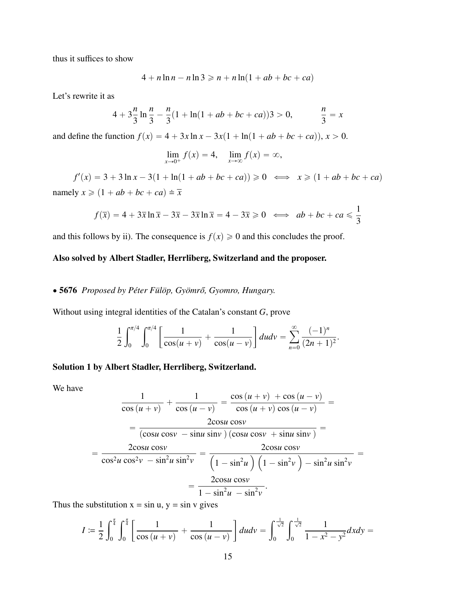thus it suffices to show

$$
4 + n \ln n - n \ln 3 \geqslant n + n \ln(1 + ab + bc + ca)
$$

Let's rewrite it as

$$
4 + 3\frac{n}{3}\ln\frac{n}{3} - \frac{n}{3}(1 + \ln(1 + ab + bc + ca))3 > 0, \qquad \frac{n}{3} = x
$$

and define the function  $f(x) = 4 + 3x \ln x - 3x(1 + \ln(1 + ab + bc + ca))$ ,  $x > 0$ .

$$
\lim_{x \to 0^+} f(x) = 4, \quad \lim_{x \to \infty} f(x) = \infty,
$$

 $f'(x) = 3 + 3 \ln x - 3(1 + \ln(1 + ab + bc + ca)) \ge 0 \iff x \ge (1 + ab + bc + ca)$ namely  $x \geqslant (1 + ab + bc + ca) \doteq \overline{x}$ 

$$
f(\overline{x}) = 4 + 3\overline{x}\ln\overline{x} - 3\overline{x} - 3\overline{x}\ln\overline{x} = 4 - 3\overline{x} \ge 0 \iff ab + bc + ca \le \frac{1}{3}
$$

and this follows by ii). The consequence is  $f(x) \ge 0$  and this concludes the proof.

### Also solved by Albert Stadler, Herrliberg, Switzerland and the proposer.

#### ' 5676 *Proposed by Péter Fülöp, Gyömr ˝o, Gyomro, Hungary.*

Without using integral identities of the Catalan's constant *G*, prove

$$
\frac{1}{2}\int_0^{\pi/4} \int_0^{\pi/4} \left[\frac{1}{\cos(u+v)} + \frac{1}{\cos(u-v)}\right] du dv = \sum_{n=0}^{\infty} \frac{(-1)^n}{(2n+1)^2}.
$$

#### Solution 1 by Albert Stadler, Herrliberg, Switzerland.

We have

$$
\frac{1}{\cos(u+v)} + \frac{1}{\cos(u-v)} = \frac{\cos(u+v) + \cos(u-v)}{\cos(u+v)\cos(u-v)} =
$$
\n
$$
= \frac{2\cos u \cos v}{(\cos u \cos v - \sin u \sin v) (\cos u \cos v + \sin u \sin v)} =
$$
\n
$$
= \frac{2\cos u \cos v}{\cos^2 u \cos^2 v - \sin^2 u \sin^2 v} = \frac{2\cos u \cos v}{\left(1 - \sin^2 u\right)\left(1 - \sin^2 v\right) - \sin^2 u \sin^2 v} =
$$
\n
$$
= \frac{2\cos u \cos v}{1 - \sin^2 u - \sin^2 v}.
$$

Thus the substitution  $x = \sin u$ ,  $y = \sin v$  gives

$$
I := \frac{1}{2} \int_0^{\frac{\pi}{4}} \int_0^{\frac{\pi}{4}} \left[ \frac{1}{\cos(u+v)} + \frac{1}{\cos(u-v)} \right] du dv = \int_0^{\frac{1}{\sqrt{2}}} \int_0^{\frac{1}{\sqrt{2}}} \frac{1}{1-x^2 - y^2} dx dy =
$$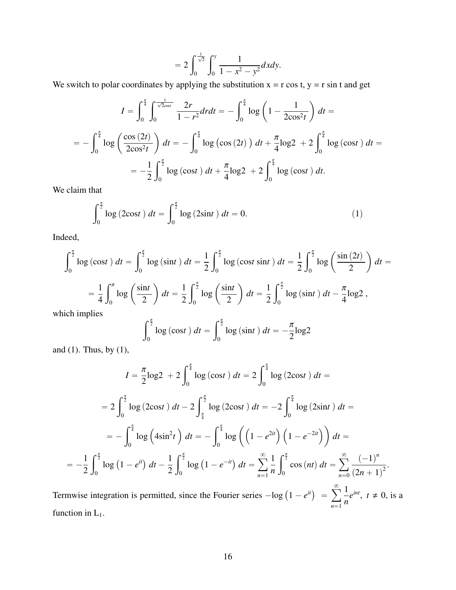$$
=2\int_0^{\frac{1}{\sqrt{2}}} \int_0^y \frac{1}{1-x^2-y^2} dx dy.
$$

We switch to polar coordinates by applying the substitution  $x = r \cos t$ ,  $y = r \sin t$  and get

$$
I = \int_0^{\frac{\pi}{4}} \int_0^{\frac{1}{\sqrt{2}\cos t}} \frac{2r}{1 - r^2} dr dt = -\int_0^{\frac{\pi}{4}} \log \left( 1 - \frac{1}{2\cos^2 t} \right) dt =
$$
  
=  $-\int_0^{\frac{\pi}{4}} \log \left( \frac{\cos (2t)}{2\cos^2 t} \right) dt = -\int_0^{\frac{\pi}{4}} \log \left( \cos (2t) \right) dt + \frac{\pi}{4} \log 2 + 2 \int_0^{\frac{\pi}{4}} \log \left( \cos t \right) dt =$   
=  $-\frac{1}{2} \int_0^{\frac{\pi}{2}} \log \left( \cos t \right) dt + \frac{\pi}{4} \log 2 + 2 \int_0^{\frac{\pi}{4}} \log \left( \cos t \right) dt.$ 

We claim that

$$
\int_0^{\frac{\pi}{2}} \log(2\cos t) \, dt = \int_0^{\frac{\pi}{2}} \log(2\sin t) \, dt = 0. \tag{1}
$$

Indeed,

$$
\int_0^{\frac{\pi}{2}} \log(\cos t) \, dt = \int_0^{\frac{\pi}{2}} \log(\sin t) \, dt = \frac{1}{2} \int_0^{\frac{\pi}{2}} \log(\cos t \sin t) \, dt = \frac{1}{2} \int_0^{\frac{\pi}{2}} \log\left(\frac{\sin(2t)}{2}\right) \, dt =
$$
\n
$$
= \frac{1}{4} \int_0^{\pi} \log\left(\frac{\sin t}{2}\right) \, dt = \frac{1}{2} \int_0^{\frac{\pi}{2}} \log\left(\frac{\sin t}{2}\right) \, dt = \frac{1}{2} \int_0^{\frac{\pi}{2}} \log(\sin t) \, dt - \frac{\pi}{4} \log 2,
$$
\nwhich implies

which implies

$$
\int_0^{\frac{\pi}{2}} \log(\cos t) \, dt = \int_0^{\frac{\pi}{2}} \log(\sin t) \, dt = -\frac{\pi}{2} \log 2
$$

and (1). Thus, by (1),

$$
I = \frac{\pi}{2}\log 2 + 2\int_0^{\frac{\pi}{4}} \log\left(\cos t\right) dt = 2\int_0^{\frac{\pi}{4}} \log\left(2\cos t\right) dt =
$$
  
\n
$$
= 2\int_0^{\frac{\pi}{2}} \log\left(2\cos t\right) dt - 2\int_{\frac{\pi}{4}}^{\frac{\pi}{2}} \log\left(2\cos t\right) dt = -2\int_0^{\frac{\pi}{4}} \log\left(2\sin t\right) dt =
$$
  
\n
$$
= -\int_0^{\frac{\pi}{4}} \log\left(4\sin^2 t\right) dt = -\int_0^{\frac{\pi}{4}} \log\left(\left(1 - e^{2it}\right)\left(1 - e^{-2it}\right)\right) dt =
$$
  
\n
$$
= -\frac{1}{2}\int_0^{\frac{\pi}{2}} \log\left(1 - e^{it}\right) dt - \frac{1}{2}\int_0^{\frac{\pi}{2}} \log\left(1 - e^{-it}\right) dt = \sum_{n=1}^{\infty} \frac{1}{n} \int_0^{\frac{\pi}{2}} \cos\left(nt\right) dt = \sum_{n=0}^{\infty} \frac{(-1)^n}{(2n+1)^2}.
$$

Termwise integration is permitted, since the Fourier series  $-\log (1 - e^{it})$  =  $n=1$ 1 *n*  $e^{int}$ ,  $t \neq 0$ , is a function in  $L_1$ .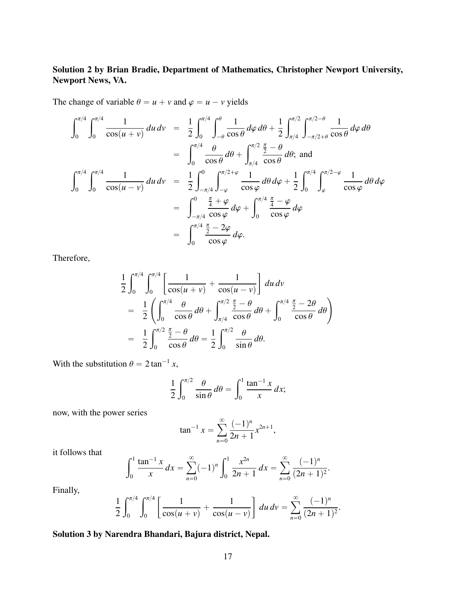## Solution 2 by Brian Bradie, Department of Mathematics, Christopher Newport University, Newport News, VA.

The change of variable  $\theta = u + v$  and  $\varphi = u - v$  yields

$$
\int_0^{\pi/4} \int_0^{\pi/4} \frac{1}{\cos(u+v)} du dv = \frac{1}{2} \int_0^{\pi/4} \int_{-\theta}^{\theta} \frac{1}{\cos \theta} d\varphi d\theta + \frac{1}{2} \int_{\pi/4}^{\pi/2} \int_{-\pi/2+\theta}^{\pi/2-\theta} \frac{1}{\cos \theta} d\varphi d\theta
$$
  
\n
$$
= \int_0^{\pi/4} \frac{\theta}{\cos \theta} d\theta + \int_{\pi/4}^{\pi/2} \frac{\frac{\pi}{2} - \theta}{\cos \theta} d\theta; \text{ and}
$$
  
\n
$$
\int_0^{\pi/4} \int_0^{\pi/4} \frac{1}{\cos(u-v)} du dv = \frac{1}{2} \int_{-\pi/4}^0 \int_{-\varphi}^{\pi/2+\varphi} \frac{1}{\cos \varphi} d\theta d\varphi + \frac{1}{2} \int_0^{\pi/4} \int_{\varphi}^{\pi/2-\varphi} \frac{1}{\cos \varphi} d\theta d\varphi
$$
  
\n
$$
= \int_{-\pi/4}^0 \frac{\frac{\pi}{4} + \varphi}{\cos \varphi} d\varphi + \int_0^{\pi/4} \frac{\frac{\pi}{4} - \varphi}{\cos \varphi} d\varphi
$$
  
\n
$$
= \int_0^{\pi/4} \frac{\frac{\pi}{2} - 2\varphi}{\cos \varphi} d\varphi.
$$

Therefore,

$$
\frac{1}{2} \int_0^{\pi/4} \int_0^{\pi/4} \left[ \frac{1}{\cos(u+v)} + \frac{1}{\cos(u-v)} \right] du dv
$$
  
\n
$$
= \frac{1}{2} \left( \int_0^{\pi/4} \frac{\theta}{\cos \theta} d\theta + \int_{\pi/4}^{\pi/2} \frac{\frac{\pi}{2} - \theta}{\cos \theta} d\theta + \int_0^{\pi/4} \frac{\frac{\pi}{2} - 2\theta}{\cos \theta} d\theta \right)
$$
  
\n
$$
= \frac{1}{2} \int_0^{\pi/2} \frac{\frac{\pi}{2} - \theta}{\cos \theta} d\theta = \frac{1}{2} \int_0^{\pi/2} \frac{\theta}{\sin \theta} d\theta.
$$

With the substitution  $\theta = 2 \tan^{-1} x$ ,

$$
\frac{1}{2} \int_0^{\pi/2} \frac{\theta}{\sin \theta} d\theta = \int_0^1 \frac{\tan^{-1} x}{x} dx;
$$

now, with the power series

$$
\tan^{-1} x = \sum_{n=0}^{\infty} \frac{(-1)^n}{2n+1} x^{2n+1},
$$

it follows that

$$
\int_0^1 \frac{\tan^{-1} x}{x} dx = \sum_{n=0}^\infty (-1)^n \int_0^1 \frac{x^{2n}}{2n+1} dx = \sum_{n=0}^\infty \frac{(-1)^n}{(2n+1)^2}.
$$

Finally,

$$
\frac{1}{2}\int_0^{\pi/4}\int_0^{\pi/4}\left[\frac{1}{\cos(u+v)}+\frac{1}{\cos(u-v)}\right]du\,dv=\sum_{n=0}^\infty\frac{(-1)^n}{(2n+1)^2}.
$$

## Solution 3 by Narendra Bhandari, Bajura district, Nepal.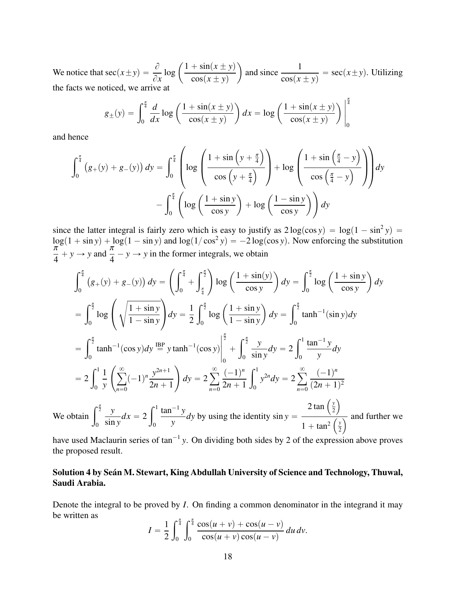We notice that  $\sec(x \pm y) = \frac{\partial}{\partial y}$  $\partial x$  $\log \left( \frac{1 + \sin(x \pm y)}{y}\right)$  $cos(x \pm y)$ ˙ and since  $\frac{1}{\sqrt{1}}$  $cos(x \pm y)$  $=$  sec( $x \pm y$ ). Utilizing the facts we noticed, we arrive at  $\frac{1}{2}$ 

$$
g_{\pm}(y) = \int_0^{\frac{\pi}{4}} \frac{d}{dx} \log \left( \frac{1 + \sin(x \pm y)}{\cos(x \pm y)} \right) dx = \log \left( \frac{1 + \sin(x \pm y)}{\cos(x \pm y)} \right) \Big|_0^{\frac{\pi}{4}}
$$

**Second Contract Contract Contract Contract Contract Contract Contract Contract Contract Contract Contract Contract Contract Contract Contract Contract Contract Contract Contract Contract Contract Contract Contract Contrac** 

¨

and hence

$$
\int_0^{\frac{\pi}{4}} (g_+(y) + g_-(y)) dy = \int_0^{\frac{\pi}{4}} \left( \log \left( \frac{1 + \sin \left( y + \frac{\pi}{4} \right)}{\cos \left( y + \frac{\pi}{4} \right)} \right) + \log \left( \frac{1 + \sin \left( \frac{\pi}{4} - y \right)}{\cos \left( \frac{\pi}{4} - y \right)} \right) \right) dy
$$

$$
- \int_0^{\frac{\pi}{4}} \left( \log \left( \frac{1 + \sin y}{\cos y} \right) + \log \left( \frac{1 - \sin y}{\cos y} \right) \right) dy
$$

since the latter integral is fairly zero which is easy to justify as  $2 \log(\cos y) = \log(1 - \sin^2 y)$  $\log(1 + \sin y) + \log(1 - \sin y)$  and  $\log(1/\cos^2 y) = -2 \log(\cos y)$ . Now enforcing the substitution  $\frac{\pi}{4} + y \rightarrow y$  and  $\frac{\pi}{4} - y \rightarrow y$  in the former integrals, we obtain

$$
\int_0^{\frac{\pi}{4}} (g_+(y) + g_-(y)) dy = \left( \int_0^{\frac{\pi}{4}} + \int_{\frac{\pi}{4}}^{\frac{\pi}{2}} \right) \log \left( \frac{1 + \sin(y)}{\cos y} \right) dy = \int_0^{\frac{\pi}{2}} \log \left( \frac{1 + \sin y}{\cos y} \right) dy
$$
  
\n
$$
= \int_0^{\frac{\pi}{2}} \log \left( \sqrt{\frac{1 + \sin y}{1 - \sin y}} \right) dy = \frac{1}{2} \int_0^{\frac{\pi}{2}} \log \left( \frac{1 + \sin y}{1 - \sin y} \right) dy = \int_0^{\frac{\pi}{2}} \tanh^{-1}(\sin y) dy
$$
  
\n
$$
= \int_0^{\frac{\pi}{2}} \tanh^{-1}(\cos y) dy \stackrel{\text{IBP}}{=} y \tanh^{-1}(\cos y) \Big|_0^{\frac{\pi}{2}} + \int_0^{\frac{\pi}{2}} \frac{y}{\sin y} dy = 2 \int_0^1 \frac{\tan^{-1} y}{y} dy
$$
  
\n
$$
= 2 \int_0^1 \frac{1}{y} \left( \sum_{n=0}^{\infty} (-1)^n \frac{y^{2n+1}}{2n+1} \right) dy = 2 \sum_{n=0}^{\infty} \frac{(-1)^n}{2n+1} \int_0^1 y^{2n} dy = 2 \sum_{n=0}^{\infty} \frac{(-1)^n}{(2n+1)^2}
$$
  
\nWe obtain  $\int_0^{\frac{\pi}{2}} \frac{y}{\sin y} dx = 2 \int_0^1 \frac{\tan^{-1} y}{y} dy$  by using the identity  $\sin y = \frac{2 \tan \left( \frac{y}{2} \right)}{1 + \tan^2 \left( \frac{y}{2} \right)}$  and further we

have used Maclaurin series of tan<sup>-1</sup> y. On dividing both sides by 2 of the expression above proves the proposed result.

## Solution 4 by Seán M. Stewart, King Abdullah University of Science and Technology, Thuwal, Saudi Arabia.

Denote the integral to be proved by *I*. On finding a common denominator in the integrand it may be written as  $\int_0^{\frac{\pi}{4}}$  $\int_0^{\frac{\pi}{4}}$ 

$$
I = \frac{1}{2} \int_0^{\frac{\pi}{4}} \int_0^{\frac{\pi}{4}} \frac{\cos(u+v) + \cos(u-v)}{\cos(u+v) \cos(u-v)} du dv.
$$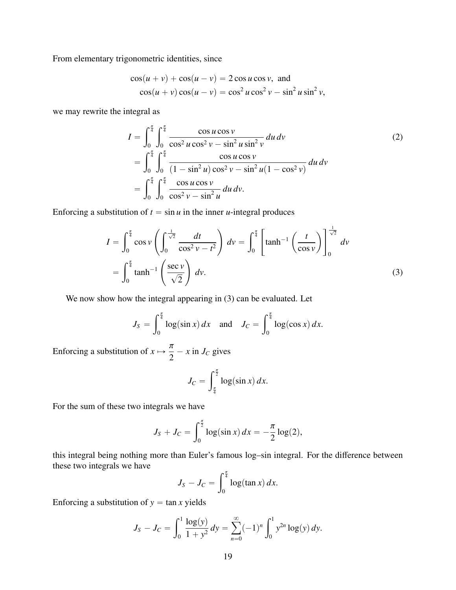From elementary trigonometric identities, since

$$
\cos(u + v) + \cos(u - v) = 2\cos u \cos v, \text{ and}
$$
  

$$
\cos(u + v)\cos(u - v) = \cos^2 u \cos^2 v - \sin^2 u \sin^2 v,
$$

we may rewrite the integral as

$$
I = \int_0^{\frac{\pi}{4}} \int_0^{\frac{\pi}{4}} \frac{\cos u \cos v}{\cos^2 u \cos^2 v - \sin^2 u \sin^2 v} du dv
$$
  
\n
$$
= \int_0^{\frac{\pi}{4}} \int_0^{\frac{\pi}{4}} \frac{\cos u \cos v}{(1 - \sin^2 u) \cos^2 v - \sin^2 u (1 - \cos^2 v)} du dv
$$
  
\n
$$
= \int_0^{\frac{\pi}{4}} \int_0^{\frac{\pi}{4}} \frac{\cos u \cos v}{\cos^2 v - \sin^2 u} du dv.
$$
 (2)

Enforcing a substitution of  $t = \sin u$  in the inner *u*-integral produces

$$
I = \int_0^{\frac{\pi}{4}} \cos v \left( \int_0^{\frac{1}{\sqrt{2}}} \frac{dt}{\cos^2 v - t^2} \right) dv = \int_0^{\frac{\pi}{4}} \left[ \tanh^{-1} \left( \frac{t}{\cos v} \right) \right]_0^{\frac{1}{\sqrt{2}}} dv
$$

$$
= \int_0^{\frac{\pi}{4}} \tanh^{-1} \left( \frac{\sec v}{\sqrt{2}} \right) dv.
$$
(3)

We now show how the integral appearing in (3) can be evaluated. Let

$$
J_S = \int_0^{\frac{\pi}{4}} \log(\sin x) \, dx \quad \text{and} \quad J_C = \int_0^{\frac{\pi}{4}} \log(\cos x) \, dx.
$$

Enforcing a substitution of  $x \mapsto \frac{\pi}{2} - x$  in  $J_C$  gives

$$
J_C = \int_{\frac{\pi}{4}}^{\frac{\pi}{2}} \log(\sin x) \, dx.
$$

For the sum of these two integrals we have

$$
J_S + J_C = \int_0^{\frac{\pi}{2}} \log(\sin x) \, dx = -\frac{\pi}{2} \log(2),
$$

this integral being nothing more than Euler's famous log–sin integral. For the difference between these two integrals we have

$$
J_S - J_C = \int_0^{\frac{\pi}{4}} \log(\tan x) \, dx.
$$

Enforcing a substitution of  $y = \tan x$  yields

$$
J_S - J_C = \int_0^1 \frac{\log(y)}{1 + y^2} dy = \sum_{n=0}^\infty (-1)^n \int_0^1 y^{2n} \log(y) dy.
$$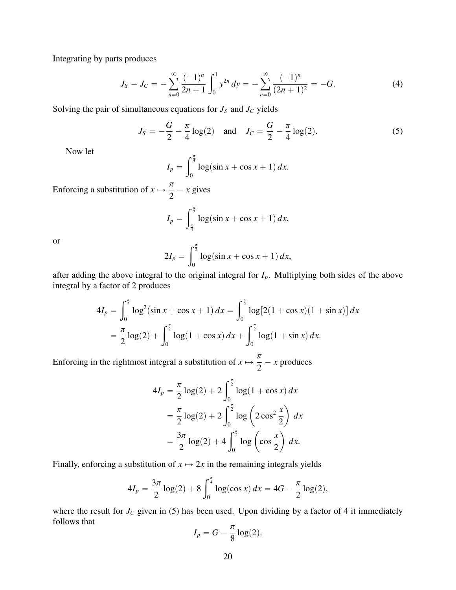Integrating by parts produces

$$
J_S - J_C = -\sum_{n=0}^{\infty} \frac{(-1)^n}{2n+1} \int_0^1 y^{2n} dy = -\sum_{n=0}^{\infty} \frac{(-1)^n}{(2n+1)^2} = -G.
$$
 (4)

Solving the pair of simultaneous equations for  $J<sub>S</sub>$  and  $J<sub>C</sub>$  yields

$$
J_S = -\frac{G}{2} - \frac{\pi}{4} \log(2) \quad \text{and} \quad J_C = \frac{G}{2} - \frac{\pi}{4} \log(2). \tag{5}
$$

Now let

$$
I_p = \int_0^{\frac{\pi}{4}} \log(\sin x + \cos x + 1) \, dx.
$$

Enforcing a substitution of  $x \mapsto \frac{1}{2} - x$  gives

$$
I_p = \int_{\frac{\pi}{4}}^{\frac{\pi}{2}} \log(\sin x + \cos x + 1) \, dx,
$$

or

$$
2I_p = \int_0^{\frac{\pi}{2}} \log(\sin x + \cos x + 1) \, dx,
$$

after adding the above integral to the original integral for  $I_p$ . Multiplying both sides of the above integral by a factor of 2 produces

$$
4I_p = \int_0^{\frac{\pi}{2}} \log^2(\sin x + \cos x + 1) dx = \int_0^{\frac{\pi}{2}} \log[2(1 + \cos x)(1 + \sin x)] dx
$$
  
=  $\frac{\pi}{2} \log(2) + \int_0^{\frac{\pi}{2}} \log(1 + \cos x) dx + \int_0^{\frac{\pi}{2}} \log(1 + \sin x) dx.$ 

Enforcing in the rightmost integral a substitution of  $x \mapsto \frac{x}{2} - x$  produces

$$
4I_p = \frac{\pi}{2}\log(2) + 2\int_0^{\frac{\pi}{2}}\log(1 + \cos x) dx
$$
  
=  $\frac{\pi}{2}\log(2) + 2\int_0^{\frac{\pi}{2}}\log(2) \cos^2(\frac{x}{2}) dx$   
=  $\frac{3\pi}{2}\log(2) + 4\int_0^{\frac{\pi}{2}}\log(\cos(\frac{x}{2})) dx.$ 

Finally, enforcing a substitution of  $x \mapsto 2x$  in the remaining integrals yields

$$
4I_p = \frac{3\pi}{2}\log(2) + 8\int_0^{\frac{\pi}{4}}\log(\cos x)\,dx = 4G - \frac{\pi}{2}\log(2),
$$

where the result for  $J_C$  given in (5) has been used. Upon dividing by a factor of 4 it immediately follows that

$$
I_p = G - \frac{\pi}{8} \log(2).
$$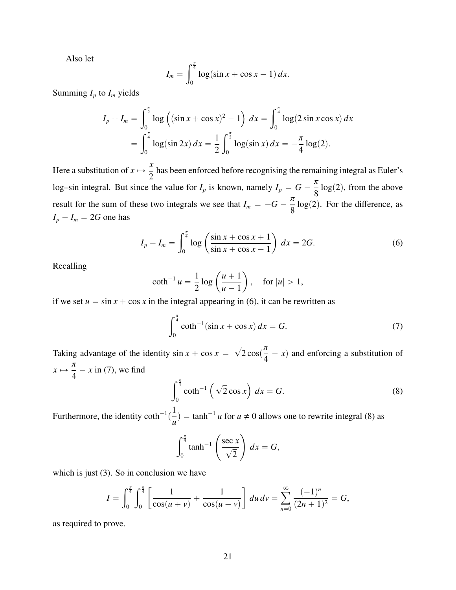Also let

$$
I_m = \int_0^{\frac{\pi}{4}} \log(\sin x + \cos x - 1) \, dx.
$$

Summing  $I_p$  to  $I_m$  yields

$$
I_p + I_m = \int_0^{\frac{\pi}{2}} \log \left( (\sin x + \cos x)^2 - 1 \right) dx = \int_0^{\frac{\pi}{4}} \log(2 \sin x \cos x) dx
$$
  
= 
$$
\int_0^{\frac{\pi}{4}} \log(\sin 2x) dx = \frac{1}{2} \int_0^{\frac{\pi}{2}} \log(\sin x) dx = -\frac{\pi}{4} \log(2).
$$

Here a substitution of  $x \mapsto$ *x* 2 has been enforced before recognising the remaining integral as Euler's log–sin integral. But since the value for  $I_p$  is known, namely  $I_p = G - \frac{1}{8} \log(2)$ , from the above result for the sum of these two integrals we see that  $I_m = -G - \frac{1}{8} \log(2)$ . For the difference, as  $I_p - I_m = 2G$  one has

$$
I_p - I_m = \int_0^{\frac{\pi}{4}} \log \left( \frac{\sin x + \cos x + 1}{\sin x + \cos x - 1} \right) dx = 2G.
$$
 (6)

Recalling

$$
\coth^{-1} u = \frac{1}{2} \log \left( \frac{u+1}{u-1} \right), \quad \text{for } |u| > 1,
$$

if we set  $u = \sin x + \cos x$  in the integral appearing in (6), it can be rewritten as

$$
\int_0^{\frac{\pi}{4}} \coth^{-1}(\sin x + \cos x) \, dx = G. \tag{7}
$$

Taking advantage of the identity  $\sin x + \cos x =$  $\overline{\phantom{a}}$  $2\cos(\frac{\pi}{4} - x)$  and enforcing a substitution of  $x \mapsto \frac{1}{4} - x$  in (7), we find  $\int_0^{\frac{\pi}{4}}$ 

$$
\int_0^{\frac{\pi}{4}} \coth^{-1}\left(\sqrt{2}\cos x\right) dx = G.
$$
 (8)

Furthermore, the identity  $\coth^{-1}($ 1  $\frac{1}{u}$  = tanh<sup>-1</sup> *u* for *u*  $\neq$  0 allows one to rewrite integral (8) as √

$$
\int_0^{\frac{\pi}{4}} \tanh^{-1} \left( \frac{\sec x}{\sqrt{2}} \right) dx = G,
$$

which is just (3). So in conclusion we have

$$
I = \int_0^{\frac{\pi}{4}} \int_0^{\frac{\pi}{4}} \left[ \frac{1}{\cos(u+v)} + \frac{1}{\cos(u-v)} \right] du dv = \sum_{n=0}^{\infty} \frac{(-1)^n}{(2n+1)^2} = G,
$$

as required to prove.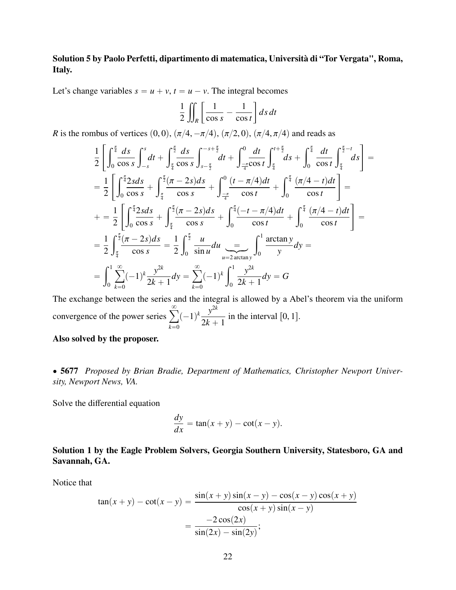## Solution 5 by Paolo Perfetti, dipartimento di matematica, Università di "Tor Vergata", Roma, Italy.

Let's change variables  $s = u + v$ ,  $t = u - v$ . The integral becomes

$$
\frac{1}{2} \iint_{R} \left[ \frac{1}{\cos s} - \frac{1}{\cos t} \right] ds dt
$$

*R* is the rombus of vertices  $(0, 0)$ ,  $(\pi/4, -\pi/4)$ ,  $(\pi/2, 0)$ ,  $(\pi/4, \pi/4)$  and reads as

$$
\frac{1}{2}\left[\int_{0}^{\frac{\pi}{4}}\frac{ds}{\cos s}\int_{-s}^{s}dt + \int_{\frac{\pi}{4}}^{\frac{\pi}{2}}\frac{ds}{\cos s}\int_{s-\frac{\pi}{2}}^{-s+\frac{\pi}{2}}dt + \int_{\frac{-\pi}{4}}^{0}\frac{dt}{\cos t}\int_{\frac{\pi}{4}}^{t+\frac{\pi}{2}}ds + \int_{0}^{\frac{\pi}{4}}\frac{dt}{\cos t}\int_{\frac{\pi}{4}}^{\frac{\pi}{2}-t}ds\right] =
$$
\n
$$
= \frac{1}{2}\left[\int_{0}^{\frac{\pi}{4}}\frac{2sds}{\cos s} + \int_{\frac{\pi}{4}}^{\frac{\pi}{2}}\frac{(\pi-2s)ds}{\cos s} + \int_{\frac{-\pi}{4}}^{0}\frac{(t-\pi/4)dt}{\cos t} + \int_{0}^{\frac{\pi}{4}}\frac{(\pi/4-t)dt}{\cos t}\right] =
$$
\n
$$
+ = \frac{1}{2}\left[\int_{0}^{\frac{\pi}{4}}\frac{2sds}{\cos s} + \int_{\frac{\pi}{4}}^{\frac{\pi}{2}}\frac{(\pi-2s)ds}{\cos s} + \int_{0}^{\frac{\pi}{4}}\frac{(-t-\pi/4)dt}{\cos t} + \int_{0}^{\frac{\pi}{4}}\frac{(\pi/4-t)dt}{\cos t}\right] =
$$
\n
$$
= \frac{1}{2}\int_{\frac{\pi}{4}}^{\frac{\pi}{2}}\frac{(\pi-2s)ds}{\cos s} = \frac{1}{2}\int_{0}^{\frac{\pi}{2}}\frac{u}{\sin u}du \underset{u=2}{\frac{1}{\arctan y}}\int_{0}^{1}\frac{\arctan y}{y}dy =
$$
\n
$$
= \int_{0}^{1}\sum_{k=0}^{\infty}(-1)^{k}\frac{y^{2k}}{2k+1}dy = \sum_{k=0}^{\infty}(-1)^{k}\int_{0}^{1}\frac{y^{2k}}{2k+1}dy = G
$$

The exchange between the series and the integral is allowed by a Abel's theorem via the uniform convergence of the power series  $\sum_{n=1}^{\infty}$  $k=0$  $(-1)^k \frac{y^{2k}}{2k}$  $\frac{y}{2k+1}$  in the interval [0, 1].

#### Also solved by the proposer.

' 5677 *Proposed by Brian Bradie, Department of Mathematics, Christopher Newport University, Newport News, VA.*

Solve the differential equation

$$
\frac{dy}{dx} = \tan(x+y) - \cot(x-y).
$$

Solution 1 by the Eagle Problem Solvers, Georgia Southern University, Statesboro, GA and Savannah, GA.

Notice that

$$
\tan(x+y) - \cot(x-y) = \frac{\sin(x+y)\sin(x-y) - \cos(x-y)\cos(x+y)}{\cos(x+y)\sin(x-y)} = \frac{-2\cos(2x)}{\sin(2x) - \sin(2y)};
$$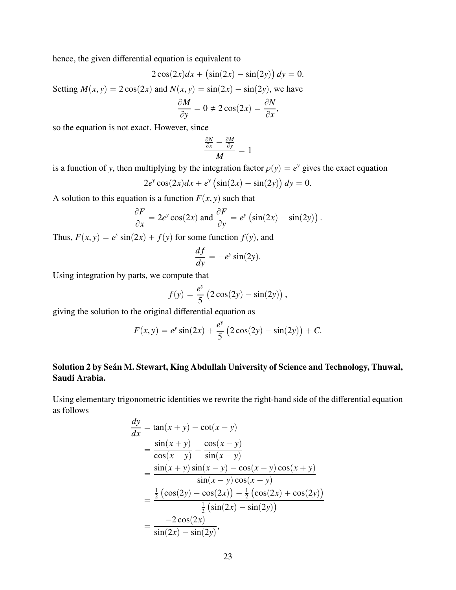hence, the given differential equation is equivalent to

$$
2\cos(2x)dx + (\sin(2x) - \sin(2y))dy = 0.
$$

Setting  $M(x, y) = 2\cos(2x)$  and  $N(x, y) = \sin(2x) - \sin(2y)$ , we have

$$
\frac{\partial M}{\partial y} = 0 \neq 2\cos(2x) = \frac{\partial N}{\partial x},
$$

so the equation is not exact. However, since

$$
\frac{\frac{\partial N}{\partial x} - \frac{\partial M}{\partial y}}{M} = 1
$$

is a function of *y*, then multiplying by the integration factor  $\rho(y) = e^y$  gives the exact equation

$$
2e^{y}\cos(2x)dx + e^{y}\left(\sin(2x) - \sin(2y)\right)dy = 0.
$$

A solution to this equation is a function  $F(x, y)$  such that

$$
\frac{\partial F}{\partial x} = 2e^y \cos(2x) \text{ and } \frac{\partial F}{\partial y} = e^y \left( \sin(2x) - \sin(2y) \right).
$$

Thus,  $F(x, y) = e^y \sin(2x) + f(y)$  for some function  $f(y)$ , and

$$
\frac{df}{dy} = -e^y \sin(2y).
$$

Using integration by parts, we compute that

$$
f(y) = \frac{e^y}{5} (2 \cos(2y) - \sin(2y)),
$$

giving the solution to the original differential equation as

$$
F(x,y) = e^y \sin(2x) + \frac{e^y}{5} (2 \cos(2y) - \sin(2y)) + C.
$$

## Solution 2 by Seán M. Stewart, King Abdullah University of Science and Technology, Thuwal, Saudi Arabia.

Using elementary trigonometric identities we rewrite the right-hand side of the differential equation as follows

$$
\frac{dy}{dx} = \tan(x + y) - \cot(x - y) \n= \frac{\sin(x + y)}{\cos(x + y)} - \frac{\cos(x - y)}{\sin(x - y)} \n= \frac{\sin(x + y)\sin(x - y) - \cos(x - y)\cos(x + y)}{\sin(x - y)\cos(x + y)} \n= \frac{\frac{1}{2}(\cos(2y) - \cos(2x)) - \frac{1}{2}(\cos(2x) + \cos(2y))}{\frac{1}{2}(\sin(2x) - \sin(2y))} \n= \frac{-2\cos(2x)}{\sin(2x) - \sin(2y)},
$$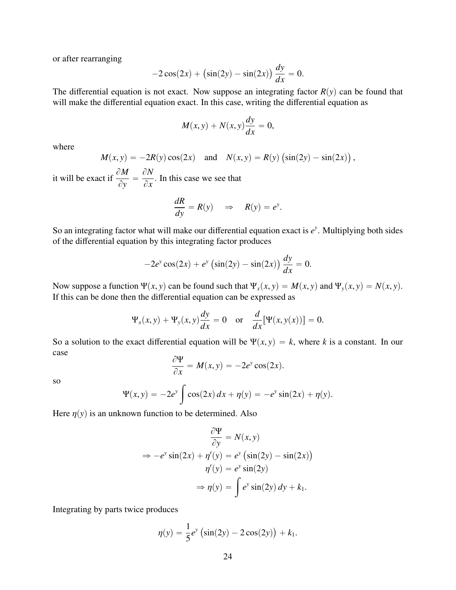or after rearranging

$$
-2\cos(2x) + (\sin(2y) - \sin(2x))\frac{dy}{dx} = 0.
$$

The differential equation is not exact. Now suppose an integrating factor  $R(y)$  can be found that will make the differential equation exact. In this case, writing the differential equation as

$$
M(x, y) + N(x, y)\frac{dy}{dx} = 0,
$$

where

$$
M(x, y) = -2R(y)\cos(2x) \quad \text{and} \quad N(x, y) = R(y)\left(\sin(2y) - \sin(2x)\right),
$$

it will be exact if  $\frac{\partial M}{\partial \lambda}$  $\frac{\partial}{\partial y}$  =  $\partial N$  $\partial x$ . In this case we see that

$$
\frac{dR}{dy} = R(y) \quad \Rightarrow \quad R(y) = e^y.
$$

So an integrating factor what will make our differential equation exact is  $e^y$ . Multiplying both sides of the differential equation by this integrating factor produces

$$
-2e^{y}\cos(2x) + e^{y}\left(\sin(2y) - \sin(2x)\right)\frac{dy}{dx} = 0.
$$

Now suppose a function  $\Psi(x, y)$  can be found such that  $\Psi_x(x, y) = M(x, y)$  and  $\Psi_y(x, y) = N(x, y)$ . If this can be done then the differential equation can be expressed as

$$
\Psi_x(x, y) + \Psi_y(x, y) \frac{dy}{dx} = 0 \quad \text{or} \quad \frac{d}{dx} [\Psi(x, y(x))] = 0.
$$

So a solution to the exact differential equation will be  $\Psi(x, y) = k$ , where *k* is a constant. In our case

$$
\frac{\partial \Psi}{\partial x} = M(x, y) = -2e^y \cos(2x).
$$

so

$$
\Psi(x, y) = -2e^y \int \cos(2x) \, dx + \eta(y) = -e^y \sin(2x) + \eta(y).
$$

Here  $\eta(y)$  is an unknown function to be determined. Also

$$
\frac{\partial \Psi}{\partial y} = N(x, y)
$$
  
\n
$$
\Rightarrow -e^{y} \sin(2x) + \eta'(y) = e^{y} (\sin(2y) - \sin(2x))
$$
  
\n
$$
\eta'(y) = e^{y} \sin(2y)
$$
  
\n
$$
\Rightarrow \eta(y) = \int e^{y} \sin(2y) dy + k_1.
$$

Integrating by parts twice produces

$$
\eta(y) = \frac{1}{5}e^y(\sin(2y) - 2\cos(2y)) + k_1.
$$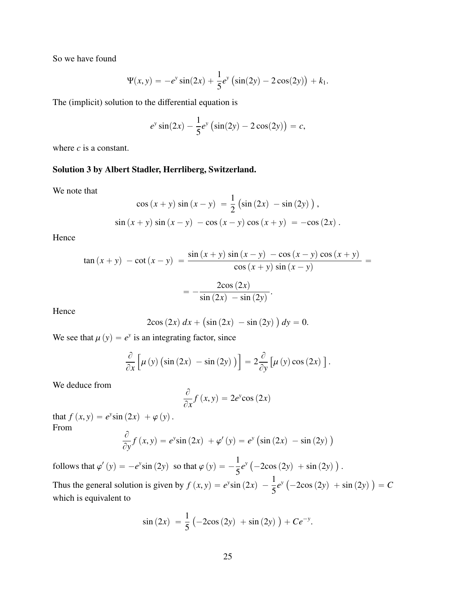So we have found

$$
\Psi(x, y) = -e^y \sin(2x) + \frac{1}{5}e^y \left(\sin(2y) - 2\cos(2y)\right) + k_1.
$$

The (implicit) solution to the differential equation is

$$
e^y \sin(2x) - \frac{1}{5} e^y \left( \sin(2y) - 2 \cos(2y) \right) = c,
$$

where *c* is a constant.

#### Solution 3 by Albert Stadler, Herrliberg, Switzerland.

We note that

$$
\cos (x + y) \sin (x - y) = \frac{1}{2} (\sin (2x) - \sin (2y)),
$$
  

$$
\sin (x + y) \sin (x - y) - \cos (x - y) \cos (x + y) = -\cos (2x).
$$

Hence

$$
\tan (x + y) - \cot (x - y) = \frac{\sin (x + y) \sin (x - y) - \cos (x - y) \cos (x + y)}{\cos (x + y) \sin (x - y)} = \frac{2\cos (2x)}{\sin (2x) - \sin (2y)}.
$$

Hence

$$
2\cos(2x) \, dx + \left(\sin(2x) \, - \sin(2y)\,\right) dy = 0.
$$

We see that  $\mu(y) = e^y$  is an integrating factor, since

$$
\frac{\partial}{\partial x}\left[\mu(y)\left(\sin(2x) - \sin(2y)\right)\right] = 2\frac{\partial}{\partial y}\left[\mu(y)\cos(2x)\right].
$$

We deduce from

$$
\frac{\partial}{\partial x}f(x,y) = 2e^y \cos(2x)
$$

that  $f(x, y) = e^y \sin(2x) + \varphi(y)$ .<br>From From  $\lambda$ 

$$
\frac{\partial}{\partial y} f(x, y) = e^{y} \sin(2x) + \varphi'(y) = e^{y} (\sin(2x) - \sin(2y))
$$

follows that  $\varphi'(y) = -e^y \sin(2y)$  so that  $\varphi(y) = -\frac{1}{5}$ 5  $e^y$  (  $-2\cos(2y) + \sin(2y)$ 

Thus the general solution is given by  $f(x, y) = e^y \sin(2x) - \frac{1}{5}$ 5  $e^y$  (  $-2\cos(2y) + \sin(2y)$  $= C$ which is equivalent to

$$
\sin{(2x)} = \frac{1}{5} (-2\cos{(2y)} + \sin{(2y)}) + Ce^{-y}
$$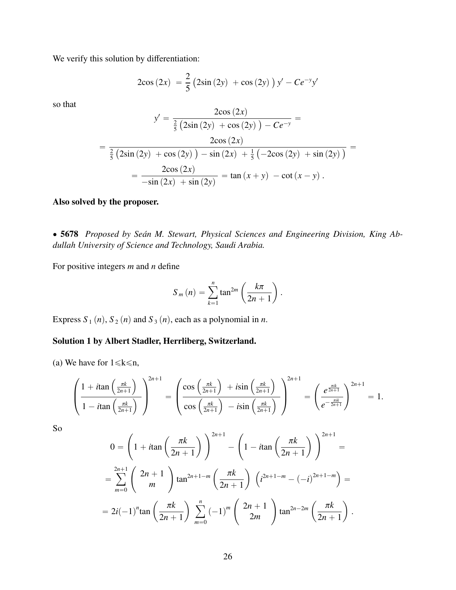We verify this solution by differentiation:

$$
2\cos(2x) = \frac{2}{5}(2\sin(2y) + \cos(2y))y' - Ce^{-y}y'
$$

so that

$$
y' = \frac{2\cos(2x)}{\frac{2}{5}(2\sin(2y) + \cos(2y)) - Ce^{-y}} =
$$
  
= 
$$
\frac{2\cos(2x)}{\frac{2}{5}(2\sin(2y) + \cos(2y)) - \sin(2x) + \frac{1}{5}(-2\cos(2y) + \sin(2y))} =
$$
  
= 
$$
\frac{2\cos(2x)}{-\sin(2x) + \sin(2y)} = \tan(x + y) - \cot(x - y).
$$

## Also solved by the proposer.

' 5678 *Proposed by Seán M. Stewart, Physical Sciences and Engineering Division, King Abdullah University of Science and Technology, Saudi Arabia.*

For positive integers *m* and *n* define

$$
S_m(n) = \sum_{k=1}^n \tan^{2m} \left( \frac{k\pi}{2n+1} \right).
$$

Express  $S_1(n)$ ,  $S_2(n)$  and  $S_3(n)$ , each as a polynomial in *n*.

## Solution 1 by Albert Stadler, Herrliberg, Switzerland.

(a) We have for  $1 \le k \le n$ ,

$$
\left(\frac{1+i \tan\left(\frac{\pi k}{2n+1}\right)}{1-i \tan\left(\frac{\pi k}{2n+1}\right)}\right)^{2n+1} = \left(\frac{\cos\left(\frac{\pi k}{2n+1}\right) + i \sin\left(\frac{\pi k}{2n+1}\right)}{\cos\left(\frac{\pi k}{2n+1}\right) - i \sin\left(\frac{\pi k}{2n+1}\right)}\right)^{2n+1} = \left(\frac{e^{\frac{\pi i k}{2n+1}}}{e^{-\frac{\pi i k}{2n+1}}}\right)^{2n+1} = 1.
$$

So

$$
0 = \left(1 + i \tan \left(\frac{\pi k}{2n+1}\right)\right)^{2n+1} - \left(1 - i \tan \left(\frac{\pi k}{2n+1}\right)\right)^{2n+1} =
$$
  
= 
$$
\sum_{m=0}^{2n+1} \left(\begin{array}{c} 2n+1 \\ m \end{array}\right) \tan^{2n+1-m} \left(\frac{\pi k}{2n+1}\right) \left(i^{2n+1-m} - (-i)^{2n+1-m}\right) =
$$
  
= 
$$
2i(-1)^n \tan \left(\frac{\pi k}{2n+1}\right) \sum_{m=0}^n (-1)^m \left(\begin{array}{c} 2n+1 \\ 2m \end{array}\right) \tan^{2n-2m} \left(\frac{\pi k}{2n+1}\right).
$$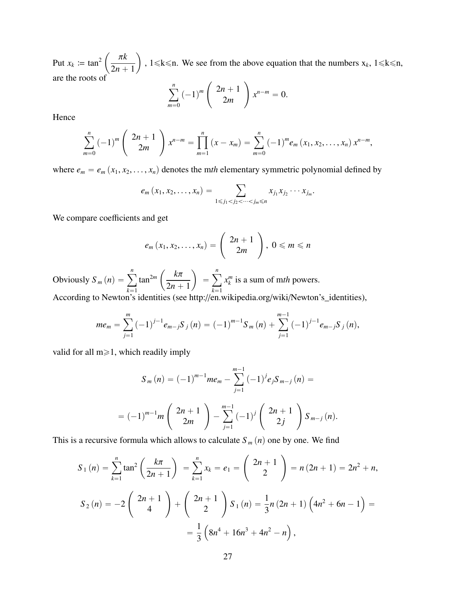Put  $x_k := \tan^2$ ˆ π*k*  $2n + 1$ ˙ ,  $1 \le k \le n$ . We see from the above equation that the numbers  $x_k$ ,  $1 \le k \le n$ , are the roots of  $\binom{n}{k}$ √

$$
\sum_{m=0}^{n} (-1)^{m} \left( 2n + 1 \ 2m \right) x^{n-m} = 0.
$$

Hence

$$
\sum_{m=0}^{n} (-1)^{m} {2n+1 \choose 2m} x^{n-m} = \prod_{m=1}^{n} (x - x_m) = \sum_{m=0}^{n} (-1)^{m} e_m(x_1, x_2, \ldots, x_n) x^{n-m},
$$

where  $e_m = e_m(x_1, x_2, \dots, x_n)$  denotes the mth elementary symmetric polynomial defined by

$$
e_m(x_1, x_2,..., x_n) = \sum_{1 \le j_1 < j_2 < ... < j_m \le n} x_{j_1} x_{j_2} \cdots x_{j_m}
$$

We compare coefficients and get

 $\mathbb{R}^2$ 

į,

$$
e_m(x_1, x_2, \ldots, x_n) = \begin{pmatrix} 2n+1 \\ 2m \end{pmatrix}, 0 \leq m \leq n
$$

Obviously  $S_m(n) =$ ÿ*<sup>n</sup>*  $k=1$ tan<sup>2</sup>*<sup>m</sup> k*π  $2n + 1$  $=$ ÿ*<sup>n</sup>*  $k=1$  $x_k^m$  $\binom{m}{k}$  is a sum of mth powers.

According to Newton's identities (see http://en.wikipedia.org/wiki/Newton's\_identities),

$$
me_{m} = \sum_{j=1}^{m} (-1)^{j-1} e_{m-j} S_{j}(n) = (-1)^{m-1} S_{m}(n) + \sum_{j=1}^{m-1} (-1)^{j-1} e_{m-j} S_{j}(n),
$$

valid for all  $m \ge 1$ , which readily imply

$$
S_m(n) = (-1)^{m-1} m e_m - \sum_{j=1}^{m-1} (-1)^j e_j S_{m-j}(n) =
$$
  
=  $(-1)^{m-1} m \begin{pmatrix} 2n+1 \ 2m \end{pmatrix} - \sum_{j=1}^{m-1} (-1)^j \begin{pmatrix} 2n+1 \ 2j \end{pmatrix} S_{m-j}(n).$ 

This is a recursive formula which allows to calculate  $S_m(n)$  one by one. We find

$$
S_1(n) = \sum_{k=1}^n \tan^2\left(\frac{k\pi}{2n+1}\right) = \sum_{k=1}^n x_k = e_1 = \binom{2n+1}{2} = n(2n+1) = 2n^2 + n,
$$
  
\n
$$
S_2(n) = -2\binom{2n+1}{4} + \binom{2n+1}{2} S_1(n) = \frac{1}{3}n(2n+1)\left(4n^2 + 6n - 1\right) =
$$
  
\n
$$
= \frac{1}{3}\left(8n^4 + 16n^3 + 4n^2 - n\right),
$$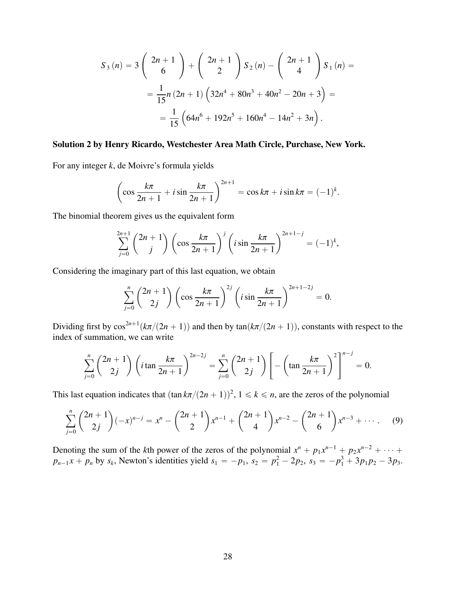$$
S_3(n) = 3\begin{pmatrix} 2n+1\\ 6 \end{pmatrix} + \begin{pmatrix} 2n+1\\ 2 \end{pmatrix} S_2(n) - \begin{pmatrix} 2n+1\\ 4 \end{pmatrix} S_1(n) =
$$
  
=  $\frac{1}{15}n(2n+1)\left(32n^4 + 80n^3 + 40n^2 - 20n + 3\right) =$   
=  $\frac{1}{15}\left(64n^6 + 192n^5 + 160n^4 - 14n^2 + 3n\right).$ 

#### Solution 2 by Henry Ricardo, Westchester Area Math Circle, Purchase, New York.

For any integer *k*, de Moivre's formula yields

$$
\left(\cos\frac{k\pi}{2n+1} + i\sin\frac{k\pi}{2n+1}\right)^{2n+1} = \cos k\pi + i\sin k\pi = (-1)^k.
$$

The binomial theorem gives us the equivalent form

$$
\sum_{j=0}^{2n+1} {2n+1 \choose j} \left(\cos \frac{k\pi}{2n+1}\right)^j \left(i \sin \frac{k\pi}{2n+1}\right)^{2n+1-j} = (-1)^k,
$$

Considering the imaginary part of this last equation, we obtain

$$
\sum_{j=0}^{n} {2n + 1 \choose 2j} \left( \cos \frac{k\pi}{2n+1} \right)^{2j} \left( i \sin \frac{k\pi}{2n+1} \right)^{2n+1-2j} = 0.
$$

Dividing first by  $\cos^{2n+1}(k\pi/(2n + 1))$  and then by  $\tan(k\pi/(2n + 1))$ , constants with respect to the index of summation, we can write index of summation, we can write

$$
\sum_{j=0}^{n} {2n + 1 \choose 2j} \left( i \tan \frac{k\pi}{2n+1} \right)^{2n-2j} = \sum_{j=0}^{n} {2n+1 \choose 2j} \left[ -\left( \tan \frac{k\pi}{2n+1} \right)^2 \right]^{n-j} = 0.
$$

This last equation indicates that  $(\tan k\pi/(2n + 1))^2$ ,  $1 \le k \le n$ , are the zeros of the polynomial

$$
\sum_{j=0}^{n} {2n + 1 \choose 2j} (-x)^{n-j} = x^{n} - {2n + 1 \choose 2} x^{n-1} + {2n + 1 \choose 4} x^{n-2} - {2n + 1 \choose 6} x^{n-3} + \cdots
$$
 (9)

Denoting the sum of the *k*th power of the zeros of the polynomial  $x^n + p_1 x^{n-1} + p_2 x^{n-2} + \cdots$  $p_{n-1}x + p_n$  by  $s_k$ , Newton's identities yield  $s_1 = -p_1$ ,  $s_2 = p_1^2 - 2p_2$ ,  $s_3 = -p_1^3 + 3p_1p_2 - 3p_3$ .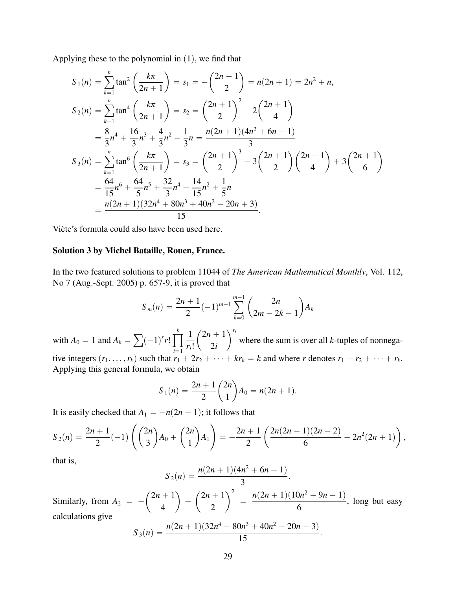Applying these to the polynomial in  $(1)$ , we find that

$$
S_1(n) = \sum_{k=1}^{n} \tan^2\left(\frac{k\pi}{2n+1}\right) = s_1 = -\binom{2n+1}{2} = n(2n+1) = 2n^2 + n,
$$
  
\n
$$
S_2(n) = \sum_{k=1}^{n} \tan^4\left(\frac{k\pi}{2n+1}\right) = s_2 = \binom{2n+1}{2}^2 - 2\binom{2n+1}{4}
$$
  
\n
$$
= \frac{8}{3}n^4 + \frac{16}{3}n^3 + \frac{4}{3}n^2 - \frac{1}{3}n = \frac{n(2n+1)(4n^2 + 6n - 1)}{3}
$$
  
\n
$$
S_3(n) = \sum_{k=1}^{n} \tan^6\left(\frac{k\pi}{2n+1}\right) = s_3 = \binom{2n+1}{2}^3 - 3\binom{2n+1}{2}\binom{2n+1}{4} + 3\binom{2n+1}{6}
$$
  
\n
$$
= \frac{64}{15}n^6 + \frac{64}{5}n^5 + \frac{32}{3}n^4 - \frac{14}{15}n^2 + \frac{1}{5}n
$$
  
\n
$$
= \frac{n(2n+1)(32n^4 + 80n^3 + 40n^2 - 20n + 3)}{15}.
$$

Viète's formula could also have been used here.

#### Solution 3 by Michel Bataille, Rouen, France.

In the two featured solutions to problem 11044 of *The American Mathematical Monthly*, Vol. 112, No 7 (Aug.-Sept. 2005) p. 657-9, it is proved that

$$
S_m(n) = \frac{2n+1}{2}(-1)^{m-1}\sum_{k=0}^{m-1} {2n \choose 2m-2k-1}A_k
$$

with  $A_0 = 1$  and  $A_k =$  $(-1)^{r}r!$ ź *k*  $i=1$ 1 *ri*!  $2n + 1$ 2*i*  $\sum r_i$ where the sum is over all *k*-tuples of nonnegative integers  $(r_1, \ldots, r_k)$  such that  $r_1 + 2r_2 + \cdots + kr_k = k$  and where *r* denotes  $r_1 + r_2 + \cdots + r_k$ .<br>Applying this general formula we obtain Applying this general formula, we obtain ˆ ˙

$$
S_1(n) = \frac{2n+1}{2}\binom{2n}{1}A_0 = n(2n+1).
$$

It is easily checked that  $A_1 = -n(2n + 1)$ ; it follows that

$$
S_2(n) = \frac{2n+1}{2}(-1)\left(\binom{2n}{3}A_0 + \binom{2n}{1}A_1\right) = -\frac{2n+1}{2}\left(\frac{2n(2n-1)(2n-2)}{6} - 2n^2(2n+1)\right),
$$

that is,

$$
S_2(n) = \frac{n(2n+1)(4n^2+6n-1)}{3}.
$$

Similarly, from  $A_2 = 2n + 1$ 4 ˙  $^{+}$ ˆ  $2n + 1$ 2  $\sqrt{2}$  $=$  $n(2n+1)(10n^2+9n-1)$ 6 , long but easy calculations give

$$
S_3(n) = \frac{n(2n+1)(32n^4 + 80n^3 + 40n^2 - 20n + 3)}{15}.
$$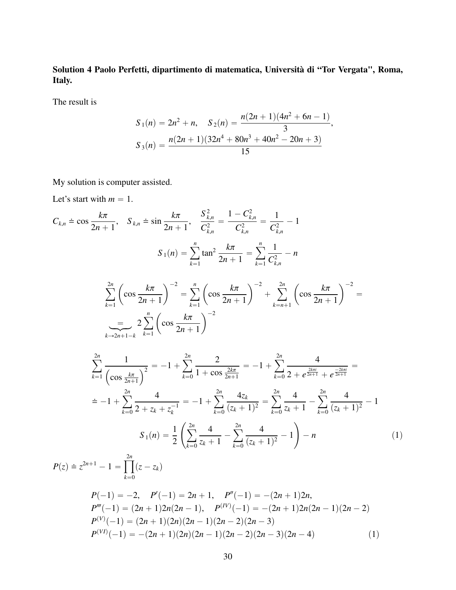Solution 4 Paolo Perfetti, dipartimento di matematica, Università di "Tor Vergata", Roma, Italy.

The result is

$$
S_1(n) = 2n^2 + n, \quad S_2(n) = \frac{n(2n+1)(4n^2 + 6n - 1)}{3},
$$

$$
S_3(n) = \frac{n(2n+1)(32n^4 + 80n^3 + 40n^2 - 20n + 3)}{15}
$$

My solution is computer assisted.

Let's start with  $m = 1$ .

$$
C_{k,n} \doteq \cos \frac{k\pi}{2n+1}, \quad S_{k,n} \doteq \sin \frac{k\pi}{2n+1}, \quad \frac{S_{k,n}^2}{C_{k,n}^2} = \frac{1 - C_{k,n}^2}{C_{k,n}^2} = \frac{1}{C_{k,n}^2} - 1
$$

$$
S_1(n) = \sum_{k=1}^n \tan^2 \frac{k\pi}{2n+1} = \sum_{k=1}^n \frac{1}{C_{k,n}^2} - n
$$

$$
\sum_{k=1}^{2n} \left(\cos \frac{k\pi}{2n+1}\right)^{-2} = \sum_{k=1}^n \left(\cos \frac{k\pi}{2n+1}\right)^{-2} + \sum_{k=n+1}^{2n} \left(\cos \frac{k\pi}{2n+1}\right)^{-2} =
$$

$$
\sum_{k=2n+1-k}^{2n} \sum_{k=1}^n \left(\cos \frac{k\pi}{2n+1}\right)^{-2}
$$

$$
\sum_{k=1}^{2n} \frac{1}{\left(\cos \frac{k\pi}{2n+1}\right)^2} = -1 + \sum_{k=0}^{2n} \frac{2}{1 + \cos \frac{2k\pi}{2n+1}} = -1 + \sum_{k=0}^{2n} \frac{4}{2 + e^{\frac{2k\pi i}{2n+1}} + e^{\frac{-2k\pi i}{2n+1}}} =
$$

$$
= -1 + \sum_{k=0}^{2n} \frac{4}{2 + z_k + z_k^{-1}} = -1 + \sum_{k=0}^{2n} \frac{4z_k}{(z_k + 1)^2} = \sum_{k=0}^{2n} \frac{4}{z_k + 1} - \sum_{k=0}^{2n} \frac{4}{(z_k + 1)^2} - 1
$$

$$
S_1(n) = \frac{1}{2} \left( \sum_{k=0}^{2n} \frac{4}{z_k + 1} - \sum_{k=0}^{2n} \frac{4}{(z_k + 1)^2} - 1 \right) - n
$$
(1)

$$
P(z) \doteq z^{2n+1} - 1 = \prod_{k=0}^{2n} (z - z_k)
$$
  
\n
$$
P(-1) = -2, \quad P'(-1) = 2n + 1, \quad P''(-1) = -(2n+1)2n,
$$
  
\n
$$
P'''(-1) = (2n+1)2n(2n-1), \quad P^{(IV)}(-1) = -(2n+1)2n(2n-1)(2n-2)
$$
  
\n
$$
P^{(V)}(-1) = (2n+1)(2n)(2n-1)(2n-2)(2n-3)
$$
  
\n
$$
P^{(VI)}(-1) = -(2n+1)(2n)(2n-1)(2n-2)(2n-3)(2n-4)
$$
\n(1)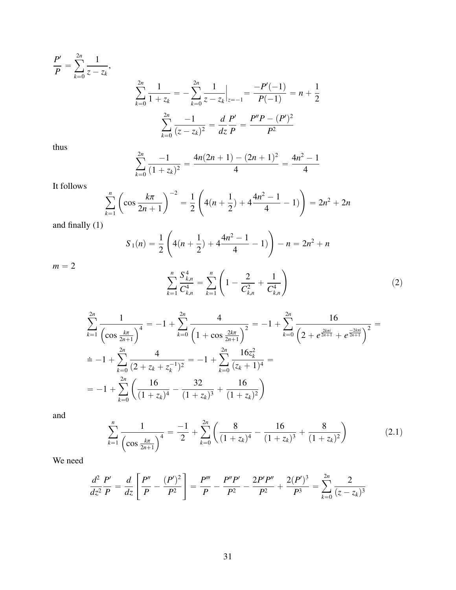$$
\frac{P'}{P} = \sum_{k=0}^{2n} \frac{1}{z - z_k},
$$
\n
$$
\sum_{k=0}^{2n} \frac{1}{1 + z_k} = -\sum_{k=0}^{2n} \frac{1}{z - z_k} \Big|_{z=-1} = \frac{-P'(-1)}{P(-1)} = n + \frac{1}{2}
$$
\n
$$
\sum_{k=0}^{2n} \frac{-1}{(z - z_k)^2} = \frac{d}{dz} \frac{P'}{P} = \frac{P''P - (P')^2}{P^2}
$$

thus

$$
\sum_{k=0}^{2n} \frac{-1}{(1+z_k)^2} = \frac{4n(2n+1)-(2n+1)^2}{4} = \frac{4n^2-1}{4}
$$

It follows

$$
\sum_{k=1}^{n} \left( \cos \frac{k\pi}{2n+1} \right)^{-2} = \frac{1}{2} \left( 4(n+\frac{1}{2}) + 4\frac{4n^2-1}{4} - 1) \right) = 2n^2 + 2n
$$

and finally (1)

$$
S_1(n) = \frac{1}{2} \left( 4(n + \frac{1}{2}) + 4 \frac{4n^2 - 1}{4} - 1) \right) - n = 2n^2 + n
$$

 $m = 2$ 

$$
\sum_{k=1}^{n} \frac{S_{k,n}^4}{C_{k,n}^4} = \sum_{k=1}^{n} \left( 1 - \frac{2}{C_{k,n}^2} + \frac{1}{C_{k,n}^4} \right)
$$
 (2)

$$
\sum_{k=1}^{2n} \frac{1}{\left(\cos \frac{k\pi}{2n+1}\right)^4} = -1 + \sum_{k=0}^{2n} \frac{4}{\left(1 + \cos \frac{2k\pi}{2n+1}\right)^2} = -1 + \sum_{k=0}^{2n} \frac{16}{\left(2 + e^{\frac{2k\pi i}{2n+1}} + e^{\frac{-2k\pi i}{2n+1}}\right)^2} =
$$
\n
$$
= -1 + \sum_{k=0}^{2n} \frac{4}{(2 + z_k + z_k^{-1})^2} = -1 + \sum_{k=0}^{2n} \frac{16z_k^2}{(z_k + 1)^4} =
$$
\n
$$
= -1 + \sum_{k=0}^{2n} \left(\frac{16}{(1 + z_k)^4} - \frac{32}{(1 + z_k)^3} + \frac{16}{(1 + z_k)^2}\right)
$$

and

$$
\sum_{k=1}^{n} \frac{1}{\left(\cos \frac{k\pi}{2n+1}\right)^4} = \frac{-1}{2} + \sum_{k=0}^{2n} \left(\frac{8}{(1+z_k)^4} - \frac{16}{(1+z_k)^3} + \frac{8}{(1+z_k)^2}\right)
$$
(2.1)

We need

$$
\frac{d^2}{dz^2}\frac{P'}{P} = \frac{d}{dz}\left[\frac{P''}{P} - \frac{(P')^2}{P^2}\right] = \frac{P'''}{P} - \frac{P''P'}{P^2} - \frac{2P'P''}{P^2} + \frac{2(P')^3}{P^3} = \sum_{k=0}^{2n} \frac{2}{(z - z_k)^3}
$$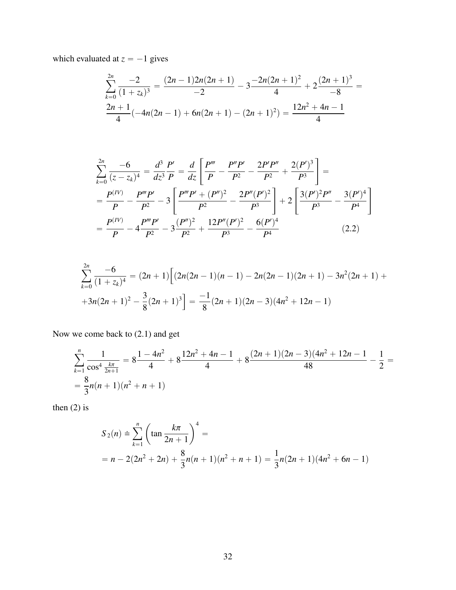which evaluated at  $z = -1$  gives

$$
\sum_{k=0}^{2n} \frac{-2}{(1+z_k)^3} = \frac{(2n-1)2n(2n+1)}{-2} - 3\frac{-2n(2n+1)^2}{4} + 2\frac{(2n+1)^3}{-8} = \frac{2n+1}{4}(-4n(2n-1) + 6n(2n+1) - (2n+1)^2) = \frac{12n^2+4n-1}{4}
$$

$$
\sum_{k=0}^{2n} \frac{-6}{(z - z_k)^4} = \frac{d^3}{dz^3} \frac{P'}{P} = \frac{d}{dz} \left[ \frac{P'''}{P} - \frac{P''P'}{P^2} - \frac{2P'P''}{P^2} + \frac{2(P')^3}{P^3} \right] =
$$
\n
$$
= \frac{P^{(IV)}}{P} - \frac{P'''P'}{P^2} - 3 \left[ \frac{P'''P' + (P'')^2}{P^2} - \frac{2P''(P')^2}{P^3} \right] + 2 \left[ \frac{3(P')^2P''}{P^3} - \frac{3(P')^4}{P^4} \right]
$$
\n
$$
= \frac{P^{(IV)}}{P} - 4\frac{P'''P'}{P^2} - 3\frac{(P'')^2}{P^2} + \frac{12P''(P')^2}{P^3} - \frac{6(P')^4}{P^4}
$$
\n(2.2)

$$
\sum_{k=0}^{2n} \frac{-6}{(1+z_k)^4} = (2n+1) \Big[ (2n(2n-1)(n-1) - 2n(2n-1)(2n+1) - 3n^2(2n+1) ++3n(2n+1)^2 - \frac{3}{8}(2n+1)^3 \Big] = \frac{-1}{8}(2n+1)(2n-3)(4n^2+12n-1)
$$

Now we come back to (2.1) and get

$$
\sum_{k=1}^{n} \frac{1}{\cos^4 \frac{k\pi}{2n+1}} = 8 \frac{1 - 4n^2}{4} + 8 \frac{12n^2 + 4n - 1}{4} + 8 \frac{(2n+1)(2n-3)(4n^2 + 12n - 1}{48} - \frac{1}{2} = \frac{8}{3}n(n+1)(n^2 + n + 1)
$$

then (2) is

$$
S_2(n) \doteq \sum_{k=1}^n \left(\tan \frac{k\pi}{2n+1}\right)^4 =
$$
  
=  $n - 2(2n^2 + 2n) + \frac{8}{3}n(n+1)(n^2 + n + 1) = \frac{1}{3}n(2n+1)(4n^2 + 6n - 1)$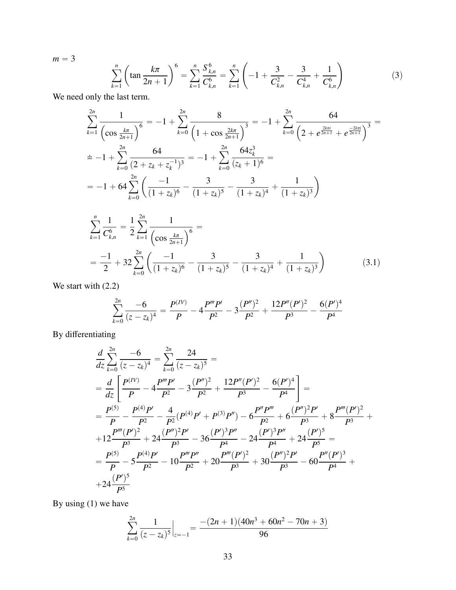$m = 3$ 

$$
\sum_{k=1}^{n} \left( \tan \frac{k\pi}{2n+1} \right)^6 = \sum_{k=1}^{n} \frac{S_{k,n}^6}{C_{k,n}^6} = \sum_{k=1}^{n} \left( -1 + \frac{3}{C_{k,n}^2} - \frac{3}{C_{k,n}^4} + \frac{1}{C_{k,n}^6} \right)
$$
(3)

We need only the last term.

$$
\sum_{k=1}^{2n} \frac{1}{\left(\cos \frac{k\pi}{2n+1}\right)^6} = -1 + \sum_{k=0}^{2n} \frac{8}{\left(1 + \cos \frac{2k\pi}{2n+1}\right)^3} = -1 + \sum_{k=0}^{2n} \frac{64}{\left(2 + e^{\frac{2k\pi i}{2n+1}} + e^{\frac{-2k\pi i}{2n+1}}\right)^3} =
$$
\n
$$
\dot{=} -1 + \sum_{k=0}^{2n} \frac{64}{\left(2 + z_k + z_k^{-1}\right)^3} = -1 + \sum_{k=0}^{2n} \frac{64z_k^3}{\left(z_k + 1\right)^6} =
$$
\n
$$
= -1 + 64 \sum_{k=0}^{2n} \left(\frac{-1}{(1 + z_k)^6} - \frac{3}{(1 + z_k)^5} - \frac{3}{(1 + z_k)^4} + \frac{1}{(1 + z_k)^3}\right)
$$

$$
\sum_{k=1}^{n} \frac{1}{C_{k,n}^{6}} = \frac{1}{2} \sum_{k=1}^{2n} \frac{1}{\left(\cos \frac{k\pi}{2n+1}\right)^{6}} =
$$
\n
$$
= \frac{-1}{2} + 32 \sum_{k=0}^{2n} \left(\frac{-1}{(1+z_k)^{6}} - \frac{3}{(1+z_k)^{5}} - \frac{3}{(1+z_k)^{4}} + \frac{1}{(1+z_k)^{3}}\right)
$$
\n(3.1)

We start with  $(2.2)$ 

$$
\sum_{k=0}^{2n} \frac{-6}{(z-z_k)^4} = \frac{P^{(IV)}}{P} - 4\frac{P'''P'}{P^2} - 3\frac{(P'')^2}{P^2} + \frac{12P''(P')^2}{P^3} - \frac{6(P')^4}{P^4}
$$

By differentiating

$$
\frac{d}{dz}\sum_{k=0}^{2n}\frac{-6}{(z-z_k)^4} = \sum_{k=0}^{2n}\frac{24}{(z-z_k)^5} =
$$
\n
$$
= \frac{d}{dz}\left[\frac{P^{(IV)}}{P} - 4\frac{P''P'}{P^2} - 3\frac{(P'')^2}{P^2} + \frac{12P''(P')^2}{P^3} - \frac{6(P')^4}{P^4}\right] =
$$
\n
$$
= \frac{P^{(5)}}{P} - \frac{P^{(4)}P'}{P^2} - \frac{4}{P^2}(P^{(4)}P' + P^{(3)}P'') - 6\frac{P''P'''}{P^2} + 6\frac{(P'')^2P'}{P^3} + 8\frac{P'''(P')^2}{P^3} +
$$
\n
$$
+ 12\frac{P'''(P')^2}{P^3} + 24\frac{(P'')^2P'}{P^3} - 36\frac{(P')^3P''}{P^4} - 24\frac{(P')^3P''}{P^4} + 24\frac{(P')^5}{P^5} =
$$
\n
$$
= \frac{P^{(5)}}{P} - 5\frac{P^{(4)}P'}{P^2} - 10\frac{P'''P''}{P^2} + 20\frac{P'''(P')^2}{P^3} + 30\frac{(P'')^2P'}{P^3} - 60\frac{P''(P')^3}{P^4} +
$$
\n
$$
+ 24\frac{(P')^5}{P^5}
$$

By using (1) we have

$$
\sum_{k=0}^{2n} \frac{1}{(z-z_k)^5}\Big|_{z=-1} = \frac{-(2n+1)(40n^3+60n^2-70n+3)}{96}
$$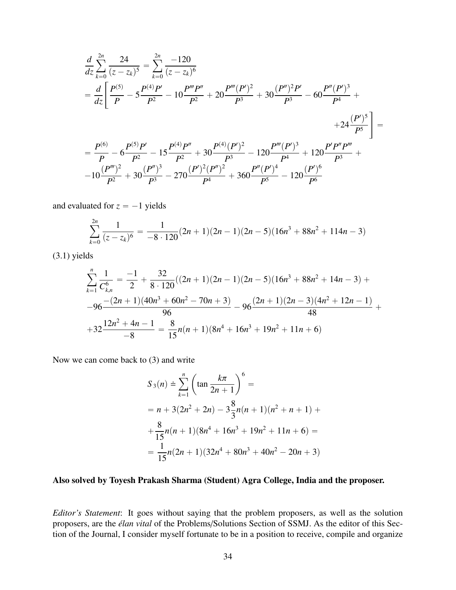$$
\frac{d}{dz}\sum_{k=0}^{2n} \frac{24}{(z-z_k)^5} = \sum_{k=0}^{2n} \frac{-120}{(z-z_k)^6}
$$
\n
$$
= \frac{d}{dz} \left[ \frac{P^{(5)}}{P} - 5\frac{P^{(4)}P'}{P^2} - 10\frac{P'''}{P^2} + 20\frac{P'''}{P^3} + 30\frac{(P'')^2P'}{P^3} - 60\frac{P''(P')^3}{P^4} + 24\frac{(P')^5}{P^5} \right] =
$$
\n
$$
= \frac{P^{(6)}}{P} - 6\frac{P^{(5)}P'}{P^2} - 15\frac{P^{(4)}P''}{P^2} + 30\frac{P^{(4)}(P')^2}{P^3} - 120\frac{P'''(P')^3}{P^4} + 120\frac{P'P''P'''}{P^3} + 10\frac{(P''')^2}{P^2} + 30\frac{(P'')^3}{P^2} - 270\frac{(P')^2(P'')^2}{P^4} + 360\frac{P''(P')^4}{P^5} - 120\frac{(P')^6}{P^6}
$$

and evaluated for  $z = -1$  yields

$$
\sum_{k=0}^{2n} \frac{1}{(z-z_k)^6} = \frac{1}{-8 \cdot 120} (2n+1)(2n-1)(2n-5)(16n^3 + 88n^2 + 114n - 3)
$$

(3.1) yields

$$
\sum_{k=1}^{n} \frac{1}{C_{k,n}^{6}} = \frac{-1}{2} + \frac{32}{8 \cdot 120} ((2n+1)(2n-1)(2n-5)(16n^3 + 88n^2 + 14n - 3) +
$$
  
\n
$$
-96 \frac{-(2n+1)(40n^3 + 60n^2 - 70n + 3)}{96} - 96 \frac{(2n+1)(2n-3)(4n^2 + 12n - 1)}{48} +
$$
  
\n
$$
+32 \frac{12n^2 + 4n - 1}{-8} = \frac{8}{15}n(n+1)(8n^4 + 16n^3 + 19n^2 + 11n + 6)
$$

Now we can come back to (3) and write

$$
S_3(n) \doteq \sum_{k=1}^n \left(\tan \frac{k\pi}{2n+1}\right)^6 =
$$
  
=  $n + 3(2n^2 + 2n) - 3\frac{8}{3}n(n+1)(n^2 + n + 1) +$   
+  $\frac{8}{15}n(n+1)(8n^4 + 16n^3 + 19n^2 + 11n + 6) =$   
=  $\frac{1}{15}n(2n+1)(32n^4 + 80n^3 + 40n^2 - 20n + 3)$ 

## Also solved by Toyesh Prakash Sharma (Student) Agra College, India and the proposer.

*Editor's Statement*: It goes without saying that the problem proposers, as well as the solution proposers, are the *élan vital* of the Problems/Solutions Section of SSMJ. As the editor of this Section of the Journal, I consider myself fortunate to be in a position to receive, compile and organize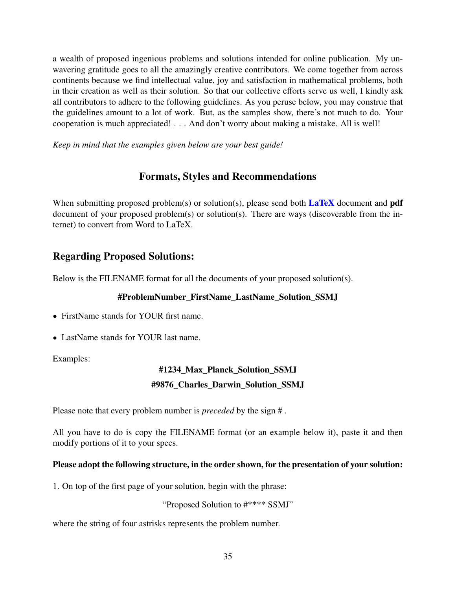a wealth of proposed ingenious problems and solutions intended for online publication. My unwavering gratitude goes to all the amazingly creative contributors. We come together from across continents because we find intellectual value, joy and satisfaction in mathematical problems, both in their creation as well as their solution. So that our collective efforts serve us well, I kindly ask all contributors to adhere to the following guidelines. As you peruse below, you may construe that the guidelines amount to a lot of work. But, as the samples show, there's not much to do. Your cooperation is much appreciated! . . . And don't worry about making a mistake. All is well!

*Keep in mind that the examples given below are your best guide!*

## Formats, Styles and Recommendations

When submitting proposed problem(s) or solution(s), please send both  $\text{LaTeX}$  document and pdf document of your proposed problem(s) or solution(s). There are ways (discoverable from the internet) to convert from Word to LaTeX.

## Regarding Proposed Solutions:

Below is the FILENAME format for all the documents of your proposed solution(s).

## #ProblemNumber\_FirstName\_LastName\_Solution\_SSMJ

- ' FirstName stands for YOUR first name.
- LastName stands for YOUR last name.

Examples:

## #1234\_Max\_Planck\_Solution\_SSMJ #9876\_Charles\_Darwin\_Solution\_SSMJ

Please note that every problem number is *preceded* by the sign # .

All you have to do is copy the FILENAME format (or an example below it), paste it and then modify portions of it to your specs.

## Please adopt the following structure, in the order shown, for the presentation of your solution:

1. On top of the first page of your solution, begin with the phrase:

"Proposed Solution to #\*\*\*\* SSMJ"

where the string of four astrisks represents the problem number.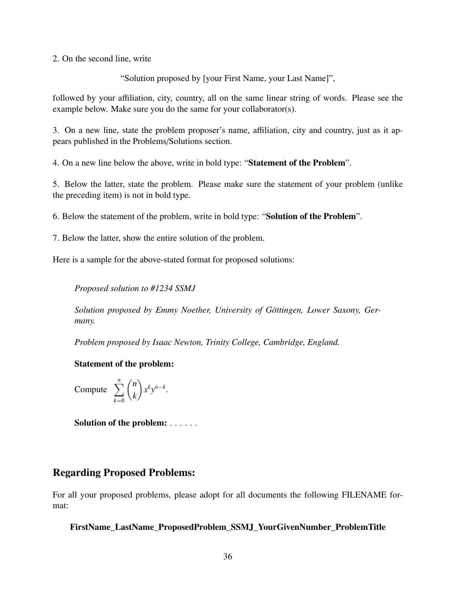2. On the second line, write

"Solution proposed by [your First Name, your Last Name]",

followed by your affiliation, city, country, all on the same linear string of words. Please see the example below. Make sure you do the same for your collaborator(s).

3. On a new line, state the problem proposer's name, affiliation, city and country, just as it appears published in the Problems/Solutions section.

4. On a new line below the above, write in bold type: "Statement of the Problem".

5. Below the latter, state the problem. Please make sure the statement of your problem (unlike the preceding item) is not in bold type.

6. Below the statement of the problem, write in bold type: "Solution of the Problem".

7. Below the latter, show the entire solution of the problem.

Here is a sample for the above-stated format for proposed solutions:

*Proposed solution to #1234 SSMJ*

*Solution proposed by Emmy Noether, University of Göttingen, Lower Saxony, Germany.*

*Problem proposed by Isaac Newton, Trinity College, Cambridge, England.*

Statement of the problem:

Compute  $\sum_{n=1}^n$  $k=0$ ˆ *n k* ˙  $x^k y^{n-k}$ .

Solution of the problem: . . . . . .

## Regarding Proposed Problems:

For all your proposed problems, please adopt for all documents the following FILENAME format:

FirstName\_LastName\_ProposedProblem\_SSMJ\_YourGivenNumber\_ProblemTitle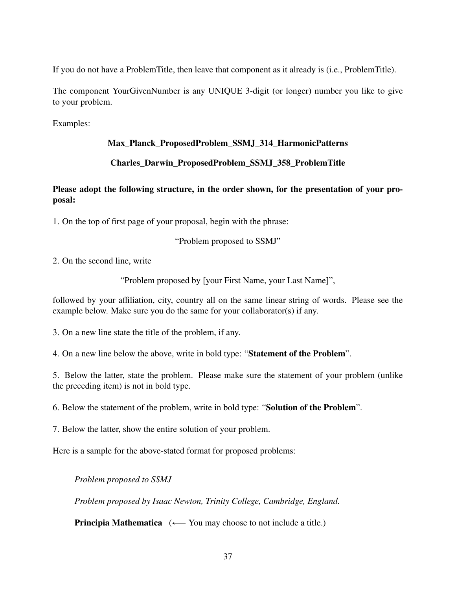If you do not have a ProblemTitle, then leave that component as it already is (i.e., ProblemTitle).

The component YourGivenNumber is any UNIQUE 3-digit (or longer) number you like to give to your problem.

Examples:

## Max\_Planck\_ProposedProblem\_SSMJ\_314\_HarmonicPatterns

## Charles\_Darwin\_ProposedProblem\_SSMJ\_358\_ProblemTitle

## Please adopt the following structure, in the order shown, for the presentation of your proposal:

1. On the top of first page of your proposal, begin with the phrase:

"Problem proposed to SSMJ"

2. On the second line, write

"Problem proposed by [your First Name, your Last Name]",

followed by your affiliation, city, country all on the same linear string of words. Please see the example below. Make sure you do the same for your collaborator(s) if any.

3. On a new line state the title of the problem, if any.

4. On a new line below the above, write in bold type: "Statement of the Problem".

5. Below the latter, state the problem. Please make sure the statement of your problem (unlike the preceding item) is not in bold type.

6. Below the statement of the problem, write in bold type: "Solution of the Problem".

7. Below the latter, show the entire solution of your problem.

Here is a sample for the above-stated format for proposed problems:

*Problem proposed to SSMJ*

*Problem proposed by Isaac Newton, Trinity College, Cambridge, England.*

**Principia Mathematica**  $(\leftarrow$  You may choose to not include a title.)